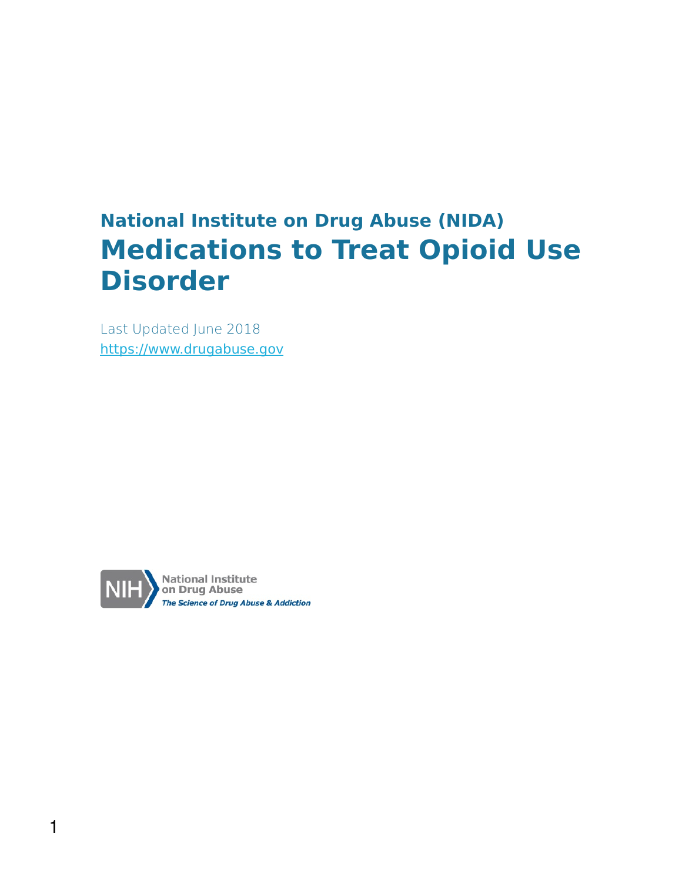### **National Institute on Drug Abuse (NIDA) Medications to Treat Opioid Use Disorder**

Last Updated June 2018 [https://www.drugabuse.gov](https://www.drugabuse.gov/)

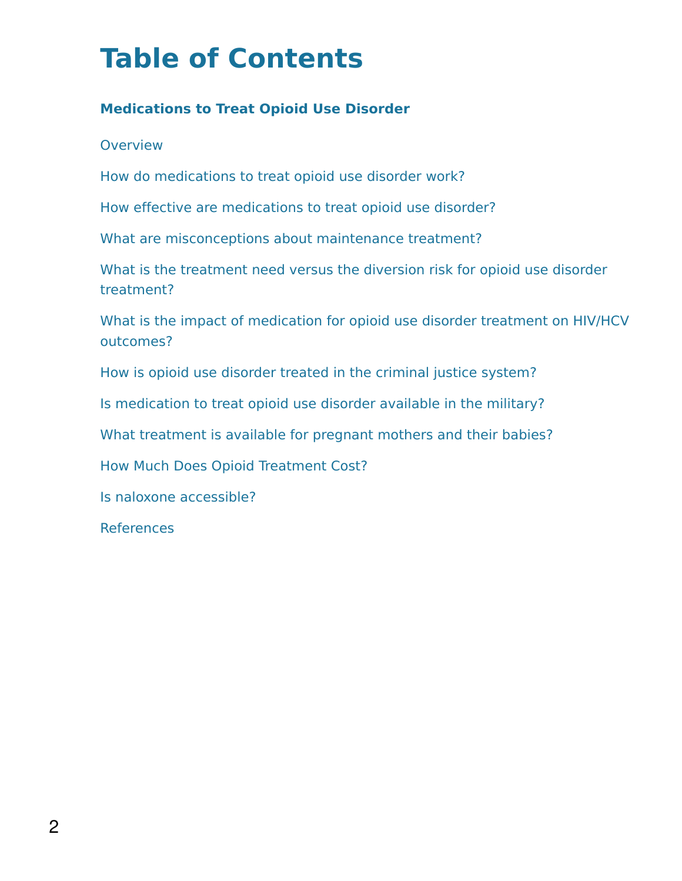### **Table of Contents**

#### **Medications to Treat Opioid Use Disorder**

**Overview** 

How do medications to treat opioid use disorder work?

How effective are medications to treat opioid use disorder?

What are misconceptions about maintenance treatment?

What is the treatment need versus the diversion risk for opioid use disorder treatment?

What is the impact of medication for opioid use disorder treatment on HIV/HCV outcomes?

How is opioid use disorder treated in the criminal justice system?

Is medication to treat opioid use disorder available in the military?

What treatment is available for pregnant mothers and their babies?

How Much Does Opioid Treatment Cost?

Is naloxone accessible?

References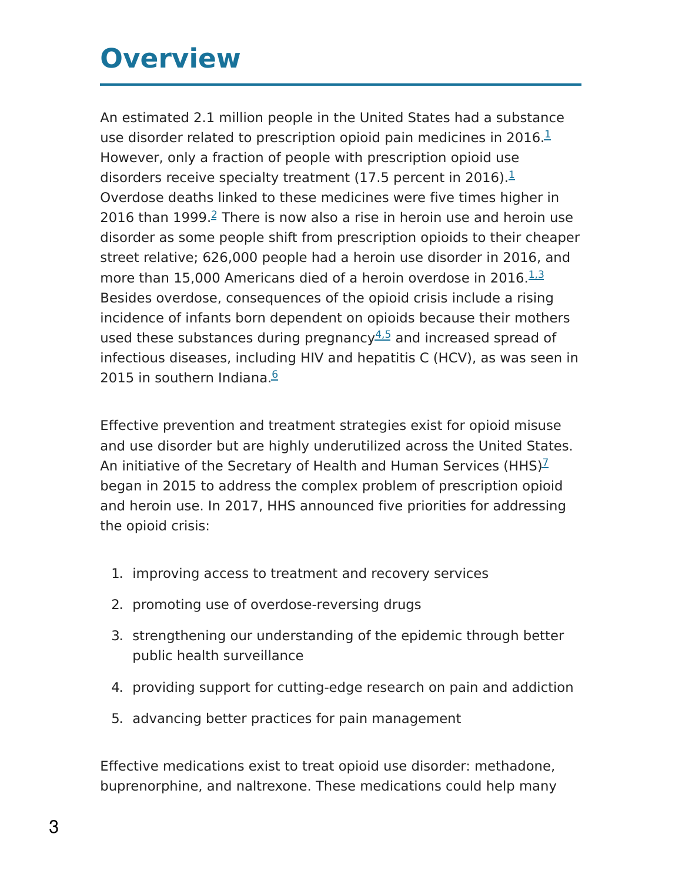### **Overview**

An estimated 2.1 million people in the United States had a substance use disorder related to prescription opioid pain medicines in 20[1](https://www.drugabuse.gov/publications/research-reports/medications-to-treat-opioid-addiction/references)6.<sup>1</sup> However, only a fraction of people with prescription opioid use disorders receive specialty treatment ([1](https://www.drugabuse.gov/publications/research-reports/medications-to-treat-opioid-addiction/references)7.5 percent in 2016).<sup>1</sup> Overdose deaths linked to these medicines were five times higher in [2](https://www.drugabuse.gov/publications/research-reports/medications-to-treat-opioid-addiction/references)016 than 1999. $2$  There is now also a rise in heroin use and heroin use disorder as some people shift from prescription opioids to their cheaper street relative; 626,000 people had a heroin use disorder in 2016, and more than 15,000 Americans died of a heroin overdose in 2016.<sup>1.3</sup> Besides overdose, consequences of the opioid crisis include a rising incidence of infants born dependent on opioids because their mothers used these substances during pregnancy<sup>[4,5](https://www.drugabuse.gov/publications/research-reports/medications-to-treat-opioid-addiction/references)</sup> and increased spread of infectious diseases, including HIV and hepatitis C (HCV), as was seen in 2015 in southern Indiana.<sup>[6](https://www.drugabuse.gov/publications/research-reports/medications-to-treat-opioid-addiction/references)</sup>

Effective prevention and treatment strategies exist for opioid misuse and use disorder but are highly underutilized across the United States. An initiative of the Secretary of Health and Human Services (HHS)<sup>[7](https://www.drugabuse.gov/publications/research-reports/medications-to-treat-opioid-addiction/references)</sup> began in 2015 to address the complex problem of prescription opioid and heroin use. In 2017, HHS announced five priorities for addressing the opioid crisis:

- 1. improving access to treatment and recovery services
- 2. promoting use of overdose-reversing drugs
- 3. strengthening our understanding of the epidemic through better public health surveillance
- 4. providing support for cutting-edge research on pain and addiction
- 5. advancing better practices for pain management

Effective medications exist to treat opioid use disorder: methadone, buprenorphine, and naltrexone. These medications could help many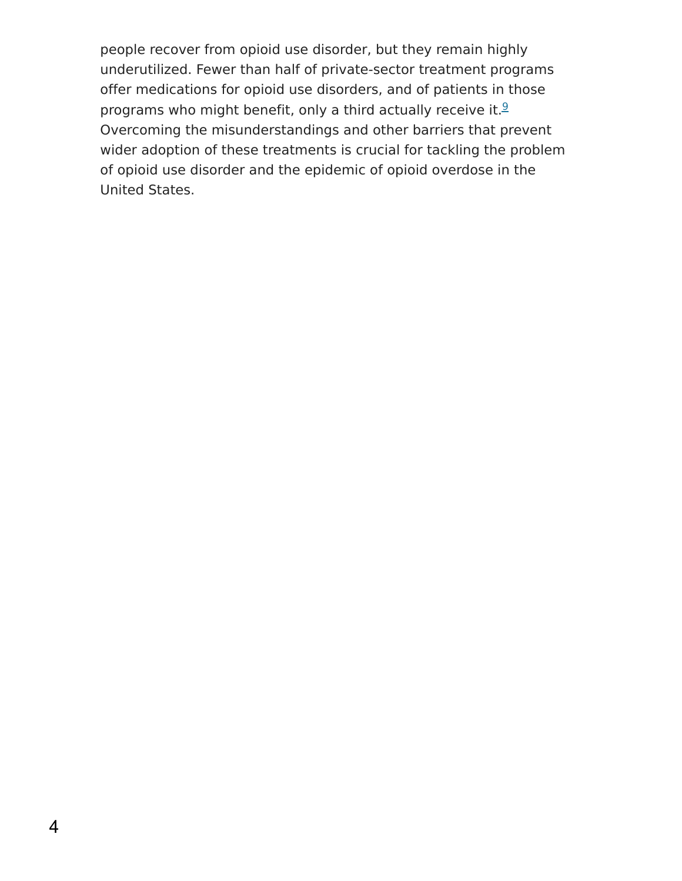people recover from opioid use disorder, but they remain highly underutilized. Fewer than half of private-sector treatment programs offer medications for opioid use disorders, and of patients in those programs who might benefit, only a third actually receive it.<sup>[9](https://www.drugabuse.gov/publications/research-reports/medications-to-treat-opioid-addiction/references)</sup> Overcoming the misunderstandings and other barriers that prevent wider adoption of these treatments is crucial for tackling the problem of opioid use disorder and the epidemic of opioid overdose in the United States.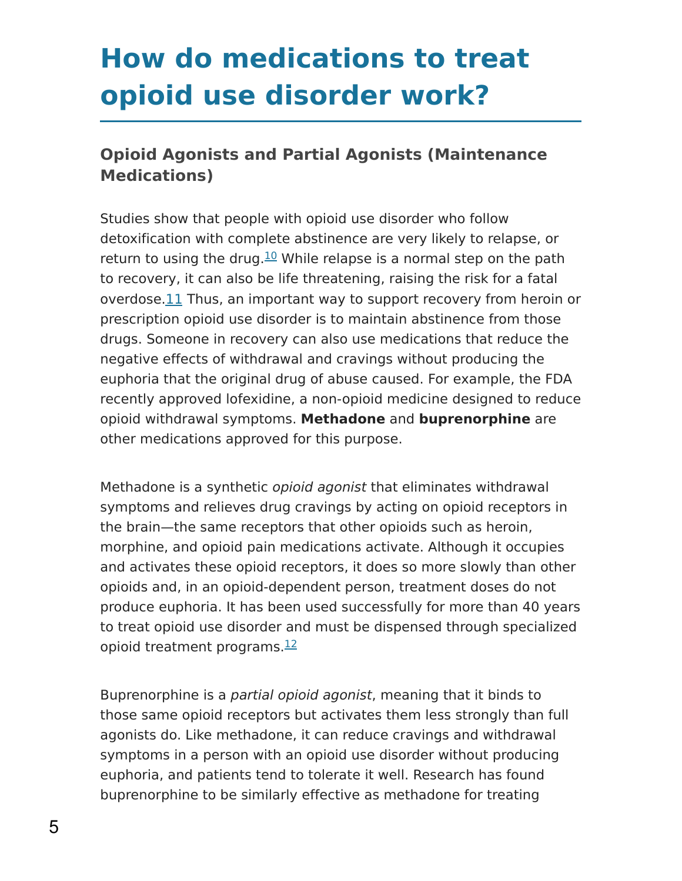### **How do medications to treat opioid use disorder work?**

#### **Opioid Agonists and Partial Agonists (Maintenance Medications)**

Studies show that people with opioid use disorder who follow detoxification with complete abstinence are very likely to relapse, or return to using the drug. $\frac{10}{10}$  $\frac{10}{10}$  $\frac{10}{10}$  While relapse is a normal step on the path to recovery, it can also be life threatening, raising the risk for a fatal overdose[.11](https://www.drugabuse.gov/publications/research-reports/medications-to-treat-opioid-addiction/references) Thus, an important way to support recovery from heroin or prescription opioid use disorder is to maintain abstinence from those drugs. Someone in recovery can also use medications that reduce the negative effects of withdrawal and cravings without producing the euphoria that the original drug of abuse caused. For example, the FDA recently approved lofexidine, a non-opioid medicine designed to reduce opioid withdrawal symptoms. **Methadone** and **buprenorphine** are other medications approved for this purpose.

Methadone is a synthetic opioid agonist that eliminates withdrawal symptoms and relieves drug cravings by acting on opioid receptors in the brain—the same receptors that other opioids such as heroin, morphine, and opioid pain medications activate. Although it occupies and activates these opioid receptors, it does so more slowly than other opioids and, in an opioid-dependent person, treatment doses do not produce euphoria. It has been used successfully for more than 40 years to treat opioid use disorder and must be dispensed through specialized opioid treatment programs.<sup>[12](https://www.drugabuse.gov/publications/research-reports/medications-to-treat-opioid-addiction/references)</sup>

Buprenorphine is a partial opioid agonist, meaning that it binds to those same opioid receptors but activates them less strongly than full agonists do. Like methadone, it can reduce cravings and withdrawal symptoms in a person with an opioid use disorder without producing euphoria, and patients tend to tolerate it well. Research has found buprenorphine to be similarly effective as methadone for treating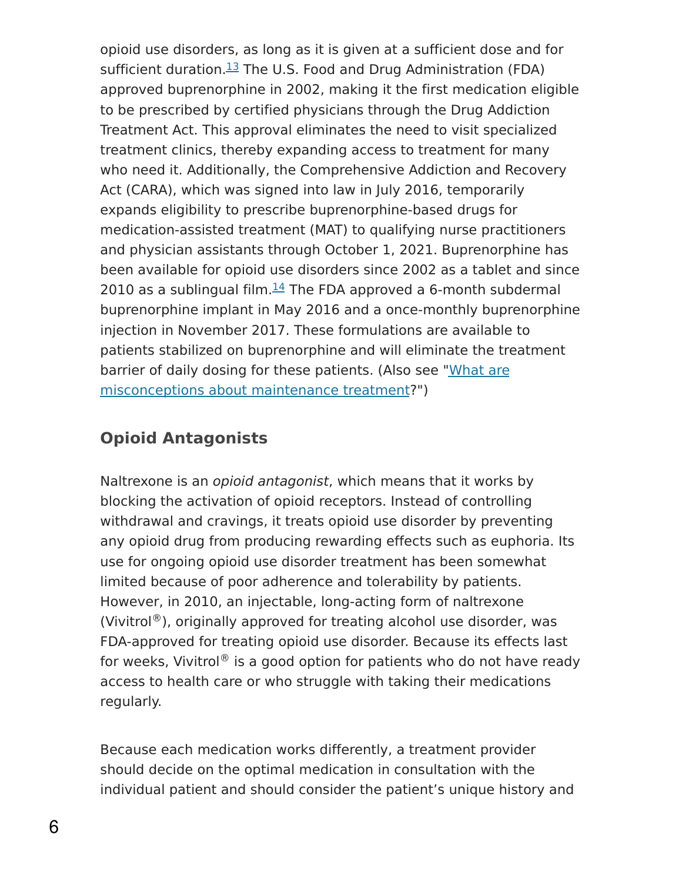opioid use disorders, as long as it is given at a sufficient dose and for sufficient duration.<sup>[13](https://www.drugabuse.gov/publications/research-reports/medications-to-treat-opioid-addiction/references)</sup> The U.S. Food and Drug Administration (FDA) approved buprenorphine in 2002, making it the first medication eligible to be prescribed by certified physicians through the Drug Addiction Treatment Act. This approval eliminates the need to visit specialized treatment clinics, thereby expanding access to treatment for many who need it. Additionally, the Comprehensive Addiction and Recovery Act (CARA), which was signed into law in July 2016, temporarily expands eligibility to prescribe buprenorphine-based drugs for medication-assisted treatment (MAT) to qualifying nurse practitioners and physician assistants through October 1, 2021. Buprenorphine has been available for opioid use disorders since 2002 as a tablet and since 2010 as a sublingual film. $\frac{14}{1}$  $\frac{14}{1}$  $\frac{14}{1}$  The FDA approved a 6-month subdermal buprenorphine implant in May 2016 and a once-monthly buprenorphine injection in November 2017. These formulations are available to patients stabilized on buprenorphine and will eliminate the treatment barrier of daily dosing for these patients. (Also see "What are [misconceptions](https://www.drugabuse.gov/publications/medications-to-treat-opioid-addiction/what-are-misconceptions-about-maintenance-treatment) about maintenance treatment?")

### **Opioid Antagonists**

Naltrexone is an opioid antagonist, which means that it works by blocking the activation of opioid receptors. Instead of controlling withdrawal and cravings, it treats opioid use disorder by preventing any opioid drug from producing rewarding effects such as euphoria. Its use for ongoing opioid use disorder treatment has been somewhat limited because of poor adherence and tolerability by patients. However, in 2010, an injectable, long-acting form of naltrexone (Vivitrol®), originally approved for treating alcohol use disorder, was FDA-approved for treating opioid use disorder. Because its effects last for weeks, Vivitrol® is a good option for patients who do not have ready access to health care or who struggle with taking their medications regularly.

Because each medication works differently, a treatment provider should decide on the optimal medication in consultation with the individual patient and should consider the patient's unique history and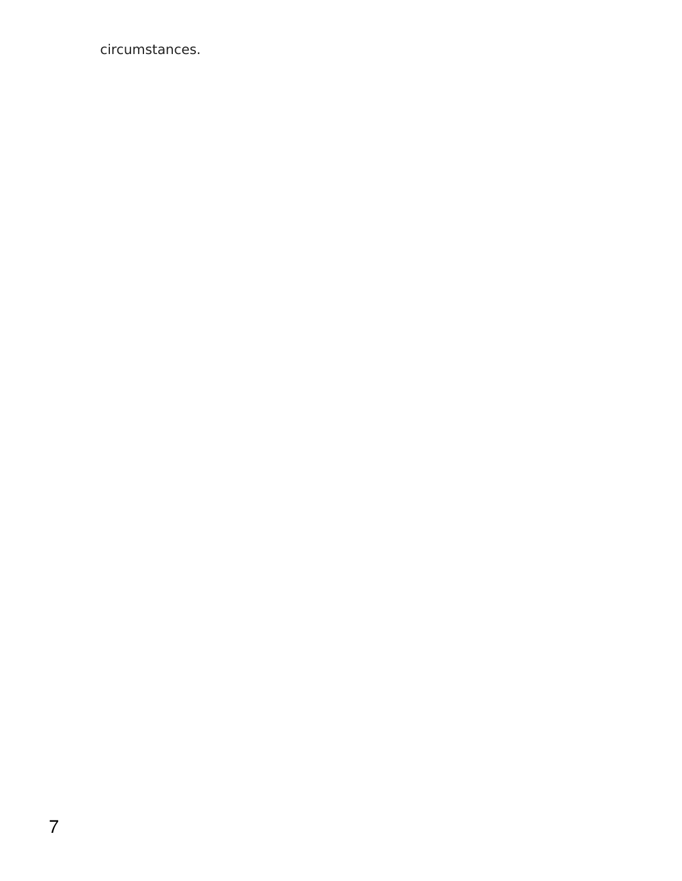circumstances.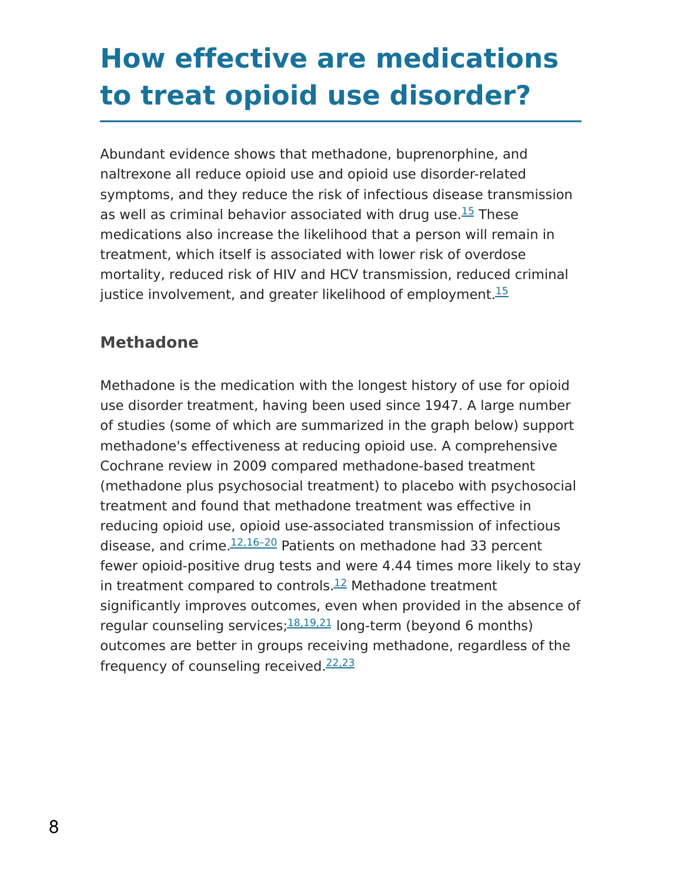### **How effective are medications to treat opioid use disorder?**

Abundant evidence shows that methadone, buprenorphine, and naltrexone all reduce opioid use and opioid use disorder-related symptoms, and they reduce the risk of infectious disease transmission as well as criminal behavior associated with drug use.<sup>[15](https://www.drugabuse.gov/publications/research-reports/medications-to-treat-opioid-addiction/references)</sup> These medications also increase the likelihood that a person will remain in treatment, which itself is associated with lower risk of overdose mortality, reduced risk of HIV and HCV transmission, reduced criminal justice involvement, and greater likelihood of employment.<sup>[15](https://www.drugabuse.gov/publications/research-reports/medications-to-treat-opioid-addiction/references)</sup>

#### **Methadone**

Methadone is the medication with the longest history of use for opioid use disorder treatment, having been used since 1947. A large number of studies (some of which are summarized in the graph below) support methadone's effectiveness at reducing opioid use. A comprehensive Cochrane review in 2009 compared methadone-based treatment (methadone plus psychosocial treatment) to placebo with psychosocial treatment and found that methadone treatment was effective in reducing opioid use, opioid use-associated transmission of infectious disease, and crime.  $12,16-20$  Patients on methadone had 33 percent fewer opioid-positive drug tests and were 4.44 times more likely to stay in treatment compared to controls. $^{12}$  $^{12}$  $^{12}$  Methadone treatment significantly improves outcomes, even when provided in the absence of regular counseling services;  $18,19,21$  long-term (beyond 6 months) outcomes are better in groups receiving methadone, regardless of the frequency of counseling received.<sup>[22,23](https://www.drugabuse.gov/publications/research-reports/medications-to-treat-opioid-addiction/references)</sup>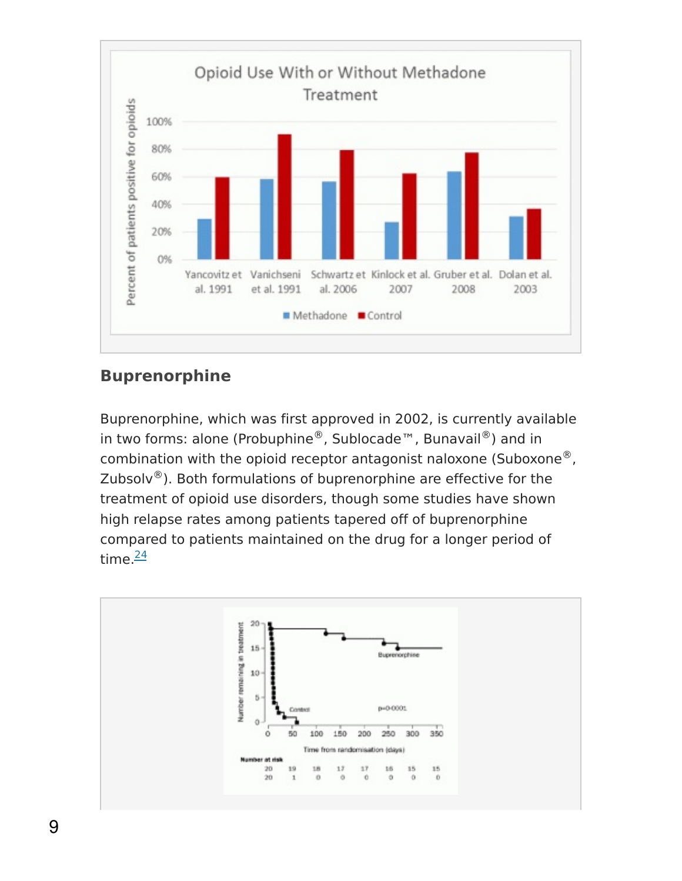

#### **Buprenorphine**

Buprenorphine, which was first approved in 2002, is currently available in two forms: alone (Probuphine®, Sublocade™, Bunavail®) and in combination with the opioid receptor antagonist naloxone (Suboxone $^{\circledR}$ , Zubsolv $^{\circledR}$ ). Both formulations of buprenorphine are effective for the treatment of opioid use disorders, though some studies have shown high relapse rates among patients tapered off of buprenorphine compared to patients maintained on the drug for a longer period of time.<sup>[24](https://www.drugabuse.gov/publications/research-reports/medications-to-treat-opioid-addiction/references)</sup>

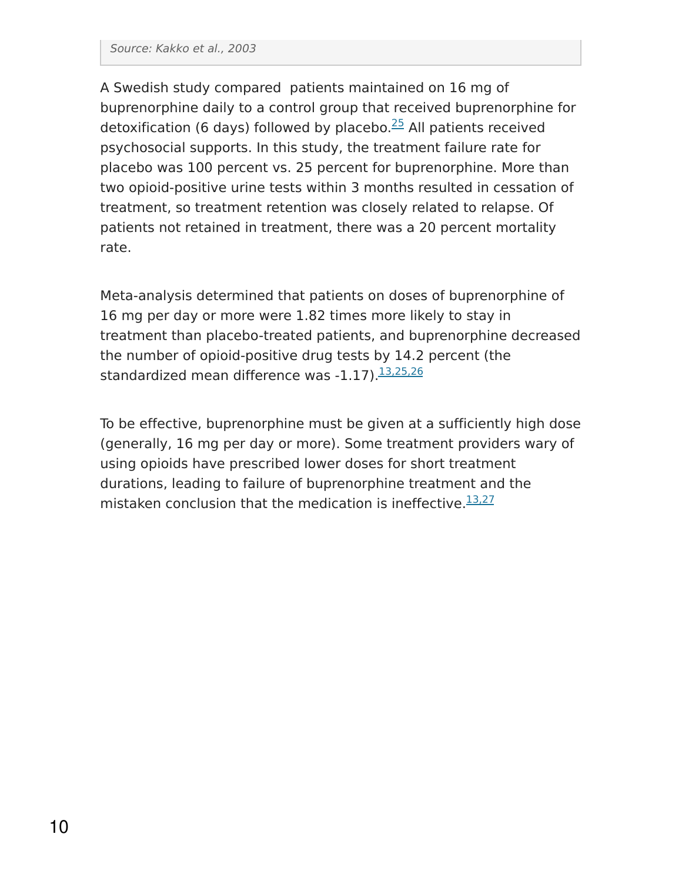A Swedish study compared patients maintained on 16 mg of buprenorphine daily to a control group that received buprenorphine for detoxification (6 days) followed by placebo.<sup>[25](https://www.drugabuse.gov/publications/research-reports/medications-to-treat-opioid-addiction/references)</sup> All patients received psychosocial supports. In this study, the treatment failure rate for placebo was 100 percent vs. 25 percent for buprenorphine. More than two opioid-positive urine tests within 3 months resulted in cessation of treatment, so treatment retention was closely related to relapse. Of patients not retained in treatment, there was a 20 percent mortality rate.

Meta-analysis determined that patients on doses of buprenorphine of 16 mg per day or more were 1.82 times more likely to stay in treatment than placebo-treated patients, and buprenorphine decreased the number of opioid-positive drug tests by 14.2 percent (the standardized mean difference was -1.17).<sup>[13,25,26](https://www.drugabuse.gov/publications/research-reports/medications-to-treat-opioid-addiction/references)</sup>

To be effective, buprenorphine must be given at a sufficiently high dose (generally, 16 mg per day or more). Some treatment providers wary of using opioids have prescribed lower doses for short treatment durations, leading to failure of buprenorphine treatment and the mistaken conclusion that the medication is ineffective.<sup>[13,27](https://www.drugabuse.gov/publications/research-reports/medications-to-treat-opioid-addiction/references)</sup>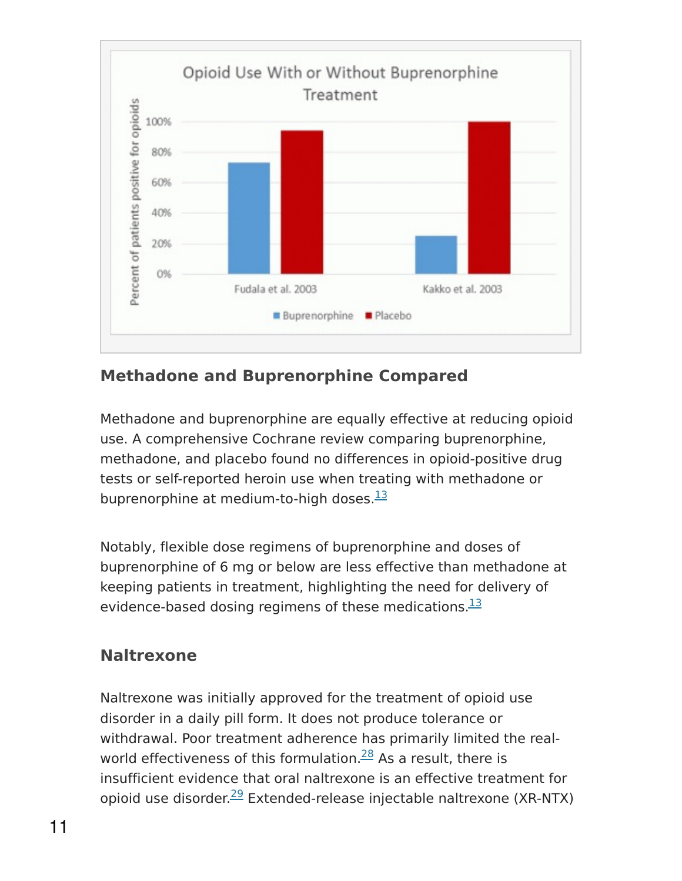

#### **Methadone and Buprenorphine Compared**

Methadone and buprenorphine are equally effective at reducing opioid use. A comprehensive Cochrane review comparing buprenorphine, methadone, and placebo found no differences in opioid-positive drug tests or self-reported heroin use when treating with methadone or buprenorphine at medium-to-high doses.<sup>[13](https://www.drugabuse.gov/publications/research-reports/medications-to-treat-opioid-addiction/references)</sup>

Notably, flexible dose regimens of buprenorphine and doses of buprenorphine of 6 mg or below are less effective than methadone at keeping patients in treatment, highlighting the need for delivery of evidence-based dosing regimens of these medications.<sup>[13](https://www.drugabuse.gov/publications/research-reports/medications-to-treat-opioid-addiction/references)</sup>

#### **Naltrexone**

Naltrexone was initially approved for the treatment of opioid use disorder in a daily pill form. It does not produce tolerance or withdrawal. Poor treatment adherence has primarily limited the real-world effectiveness of this formulation.<sup>[28](https://www.drugabuse.gov/publications/research-reports/medications-to-treat-opioid-addiction/references)</sup> As a result, there is insufficient evidence that oral naltrexone is an effective treatment for opioid use disorder.<sup>[29](https://www.drugabuse.gov/publications/research-reports/medications-to-treat-opioid-addiction/references)</sup> Extended-release injectable naltrexone (XR-NTX)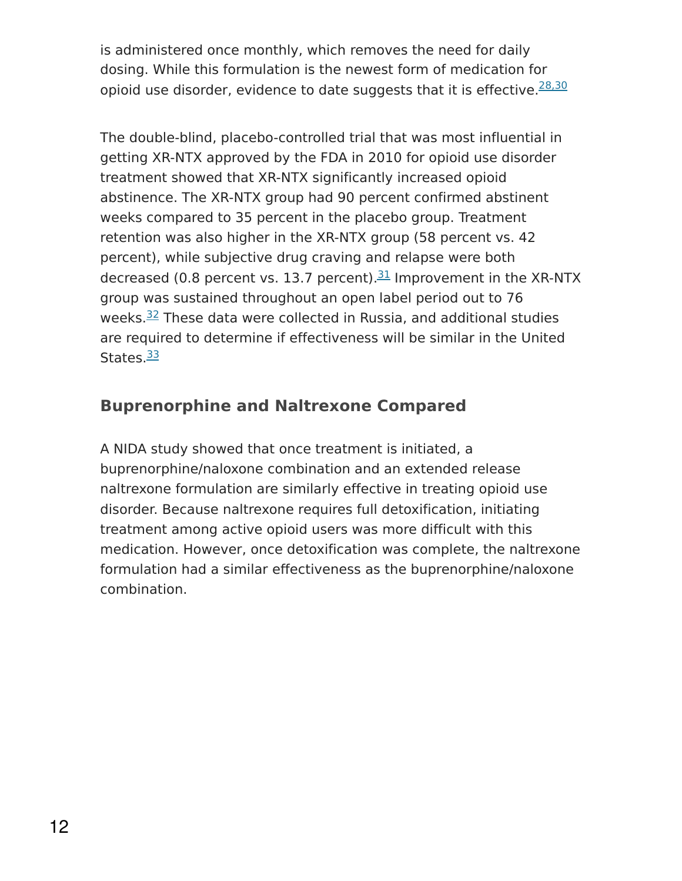is administered once monthly, which removes the need for daily dosing. While this formulation is the newest form of medication for opioid use disorder, evidence to date suggests that it is effective.<sup>[28,30](https://www.drugabuse.gov/publications/research-reports/medications-to-treat-opioid-addiction/references)</sup>

The double-blind, placebo-controlled trial that was most influential in getting XR-NTX approved by the FDA in 2010 for opioid use disorder treatment showed that XR-NTX significantly increased opioid abstinence. The XR-NTX group had 90 percent confirmed abstinent weeks compared to 35 percent in the placebo group. Treatment retention was also higher in the XR-NTX group (58 percent vs. 42 percent), while subjective drug craving and relapse were both decreased (0.8 percent vs. 13.7 percent).<sup>[31](https://www.drugabuse.gov/publications/research-reports/medications-to-treat-opioid-addiction/references)</sup> Improvement in the XR-NTX group was sustained throughout an open label period out to 76 weeks.<sup>[32](https://www.drugabuse.gov/publications/research-reports/medications-to-treat-opioid-addiction/references)</sup> These data were collected in Russia, and additional studies are required to determine if effectiveness will be similar in the United States.<sup>[33](https://www.drugabuse.gov/publications/research-reports/medications-to-treat-opioid-addiction/references)</sup>

### **Buprenorphine and Naltrexone Compared**

A NIDA study showed that once treatment is initiated, a buprenorphine/naloxone combination and an extended release naltrexone formulation are similarly effective in treating opioid use disorder. Because naltrexone requires full detoxification, initiating treatment among active opioid users was more difficult with this medication. However, once detoxification was complete, the naltrexone formulation had a similar effectiveness as the buprenorphine/naloxone combination.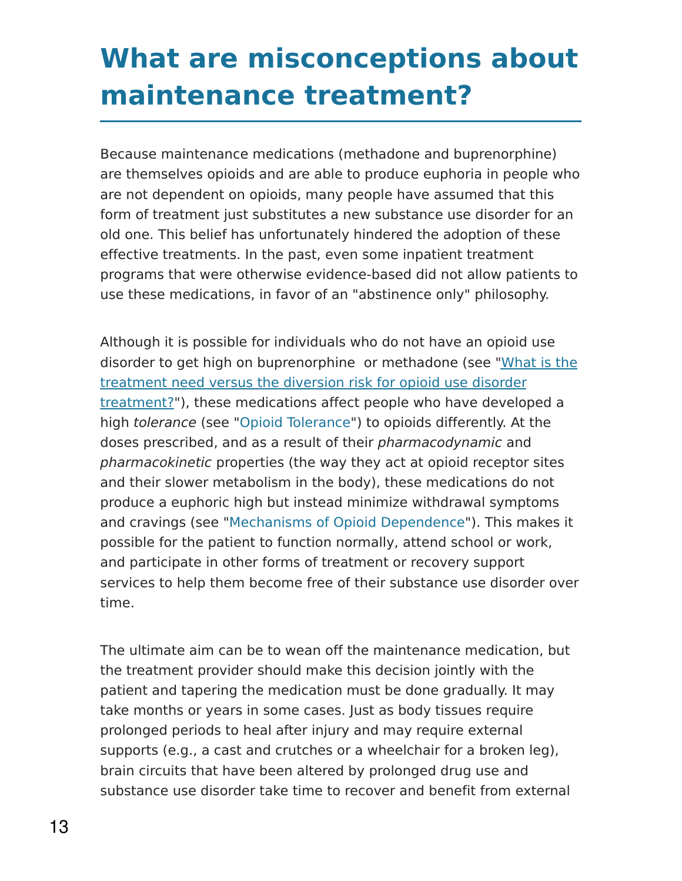### **What are misconceptions about maintenance treatment?**

Because maintenance medications (methadone and buprenorphine) are themselves opioids and are able to produce euphoria in people who are not dependent on opioids, many people have assumed that this form of treatment just substitutes a new substance use disorder for an old one. This belief has unfortunately hindered the adoption of these effective treatments. In the past, even some inpatient treatment programs that were otherwise evidence-based did not allow patients to use these medications, in favor of an "abstinence only" philosophy.

Although it is possible for individuals who do not have an opioid use disorder to get high on [buprenorphine](https://www.drugabuse.gov/publications/medications-to-treat-opioid-addiction/what-treatment-need-versus-diversion-risk-opioid-use-disorder-treatment) or methadone (see "What is the treatment need versus the diversion risk for opioid use disorder treatment?"), these medications affect people who have developed a high tolerance (see "Opioid [Tolerance"](file:////disk2/www/nida7/sites/default/files/node_pdf/21349-medications-to-treat-opioid-use-disorder.html#opioid%20tolerance)) to opioids differently. At the doses prescribed, and as a result of their pharmacodynamic and pharmacokinetic properties (the way they act at opioid receptor sites and their slower metabolism in the body), these medications do not produce a euphoric high but instead minimize withdrawal symptoms and cravings (see "Mechanisms of Opioid [Dependence"](file:////disk2/www/nida7/sites/default/files/node_pdf/21349-medications-to-treat-opioid-use-disorder.html#opioid%20dependence)). This makes it possible for the patient to function normally, attend school or work, and participate in other forms of treatment or recovery support services to help them become free of their substance use disorder over time.

The ultimate aim can be to wean off the maintenance medication, but the treatment provider should make this decision jointly with the patient and tapering the medication must be done gradually. It may take months or years in some cases. Just as body tissues require prolonged periods to heal after injury and may require external supports (e.g., a cast and crutches or a wheelchair for a broken leg), brain circuits that have been altered by prolonged drug use and substance use disorder take time to recover and benefit from external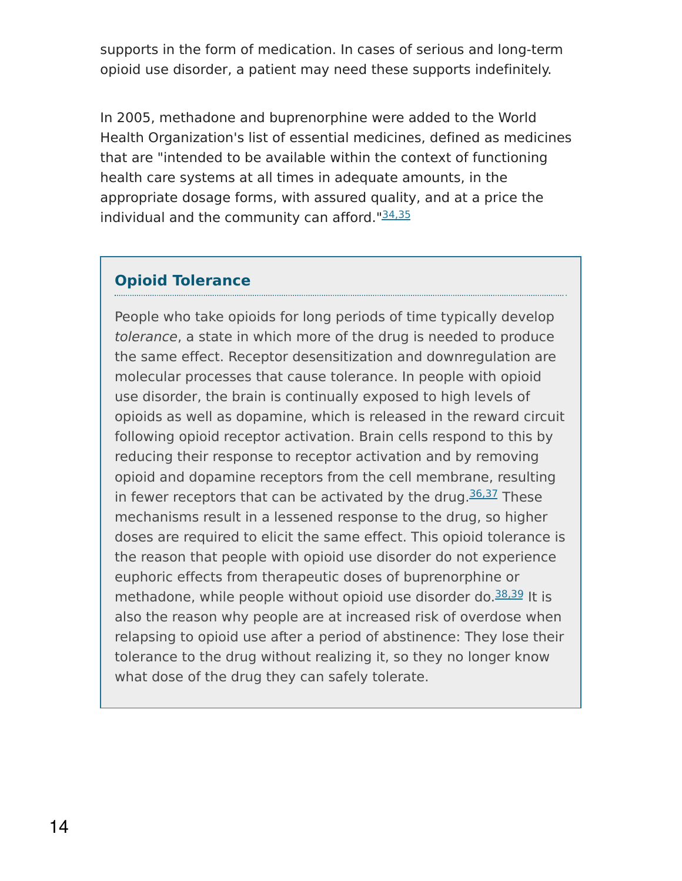supports in the form of medication. In cases of serious and long-term opioid use disorder, a patient may need these supports indefinitely.

In 2005, methadone and buprenorphine were added to the World Health Organization's list of essential medicines, defined as medicines that are "intended to be available within the context of functioning health care systems at all times in adequate amounts, in the appropriate dosage forms, with assured quality, and at a price the individual and the community can afford."<sup>[34,35](https://www.drugabuse.gov/publications/research-reports/medications-to-treat-opioid-addiction/references)</sup>

#### **Opioid Tolerance**

People who take opioids for long periods of time typically develop tolerance, a state in which more of the drug is needed to produce the same effect. Receptor desensitization and downregulation are molecular processes that cause tolerance. In people with opioid use disorder, the brain is continually exposed to high levels of opioids as well as dopamine, which is released in the reward circuit following opioid receptor activation. Brain cells respond to this by reducing their response to receptor activation and by removing opioid and dopamine receptors from the cell membrane, resulting in fewer receptors that can be activated by the drug. $36,37$  These mechanisms result in a lessened response to the drug, so higher doses are required to elicit the same effect. This opioid tolerance is the reason that people with opioid use disorder do not experience euphoric effects from therapeutic doses of buprenorphine or methadone, while people without opioid use disorder do.<sup>[38,39](https://www.drugabuse.gov/publications/research-reports/medications-to-treat-opioid-addiction/references)</sup> It is also the reason why people are at increased risk of overdose when relapsing to opioid use after a period of abstinence: They lose their tolerance to the drug without realizing it, so they no longer know what dose of the drug they can safely tolerate.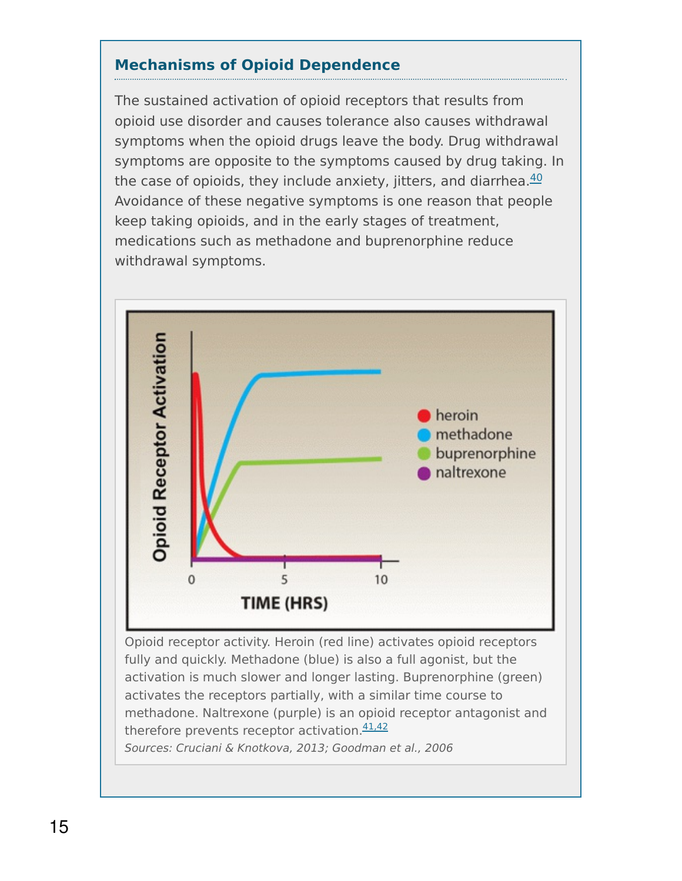#### **Mechanisms of Opioid Dependence**

The sustained activation of opioid receptors that results from opioid use disorder and causes tolerance also causes withdrawal symptoms when the opioid drugs leave the body. Drug withdrawal symptoms are opposite to the symptoms caused by drug taking. In the case of opioids, they include anxiety, jitters, and diarrhea.<sup>[40](https://www.drugabuse.gov/publications/research-reports/medications-to-treat-opioid-addiction/references)</sup> Avoidance of these negative symptoms is one reason that people keep taking opioids, and in the early stages of treatment, medications such as methadone and buprenorphine reduce withdrawal symptoms.



Opioid receptor activity. Heroin (red line) activates opioid receptors fully and quickly. Methadone (blue) is also a full agonist, but the activation is much slower and longer lasting. Buprenorphine (green) activates the receptors partially, with a similar time course to methadone. Naltrexone (purple) is an opioid receptor antagonist and therefore prevents receptor activation.<sup>[41,42](https://www.drugabuse.gov/publications/research-reports/medications-to-treat-opioid-addiction/references)</sup> Sources: Cruciani & Knotkova, 2013; Goodman et al., 2006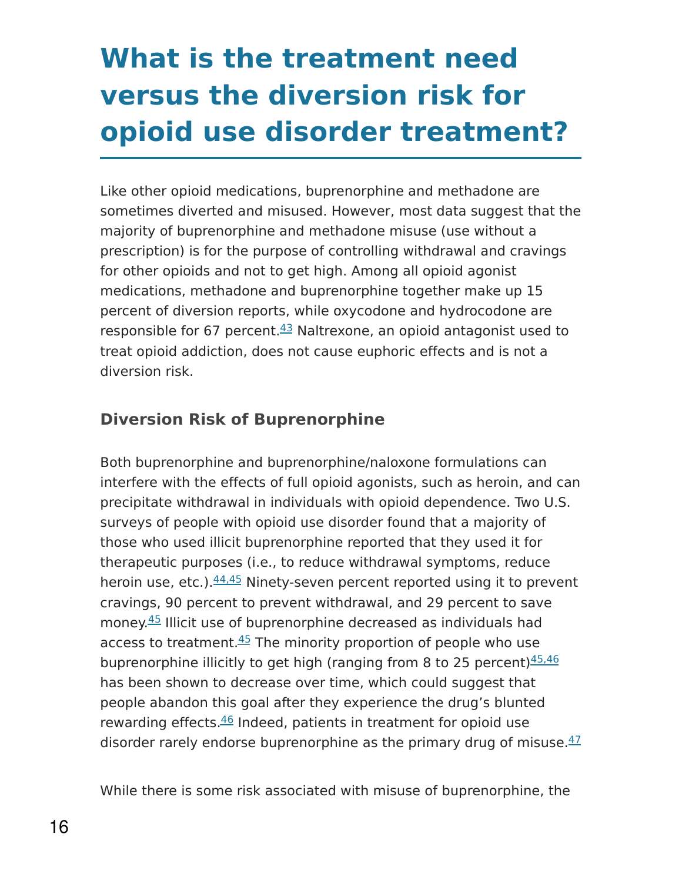# **What is the treatment need versus the diversion risk for opioid use disorder treatment?**

Like other opioid medications, buprenorphine and methadone are sometimes diverted and misused. However, most data suggest that the majority of buprenorphine and methadone misuse (use without a prescription) is for the purpose of controlling withdrawal and cravings for other opioids and not to get high. Among all opioid agonist medications, methadone and buprenorphine together make up 15 percent of diversion reports, while oxycodone and hydrocodone are responsible for 67 percent. $43$  Naltrexone, an opioid antagonist used to treat opioid addiction, does not cause euphoric effects and is not a diversion risk.

### **Diversion Risk of Buprenorphine**

Both buprenorphine and buprenorphine/naloxone formulations can interfere with the effects of full opioid agonists, such as heroin, and can precipitate withdrawal in individuals with opioid dependence. Two U.S. surveys of people with opioid use disorder found that a majority of those who used illicit buprenorphine reported that they used it for therapeutic purposes (i.e., to reduce withdrawal symptoms, reduce heroin use, etc.). $\frac{44,45}{ }$  $\frac{44,45}{ }$  $\frac{44,45}{ }$  Ninety-seven percent reported using it to prevent cravings, 90 percent to prevent withdrawal, and 29 percent to save money.<sup>[45](https://www.drugabuse.gov/publications/research-reports/medications-to-treat-opioid-addiction/references)</sup> Illicit use of buprenorphine decreased as individuals had access to treatment.<sup>[45](https://www.drugabuse.gov/publications/research-reports/medications-to-treat-opioid-addiction/references)</sup> The minority proportion of people who use buprenorphine illicitly to get high (ranging from 8 to 25 percent)<sup>[45,46](https://www.drugabuse.gov/publications/research-reports/medications-to-treat-opioid-addiction/references)</sup> has been shown to decrease over time, which could suggest that people abandon this goal after they experience the drug's blunted rewarding effects.<sup>[46](https://www.drugabuse.gov/publications/research-reports/medications-to-treat-opioid-addiction/references)</sup> Indeed, patients in treatment for opioid use disorder rarely endorse buprenorphine as the primary drug of misuse. [47](https://www.drugabuse.gov/publications/research-reports/medications-to-treat-opioid-addiction/references)

While there is some risk associated with misuse of buprenorphine, the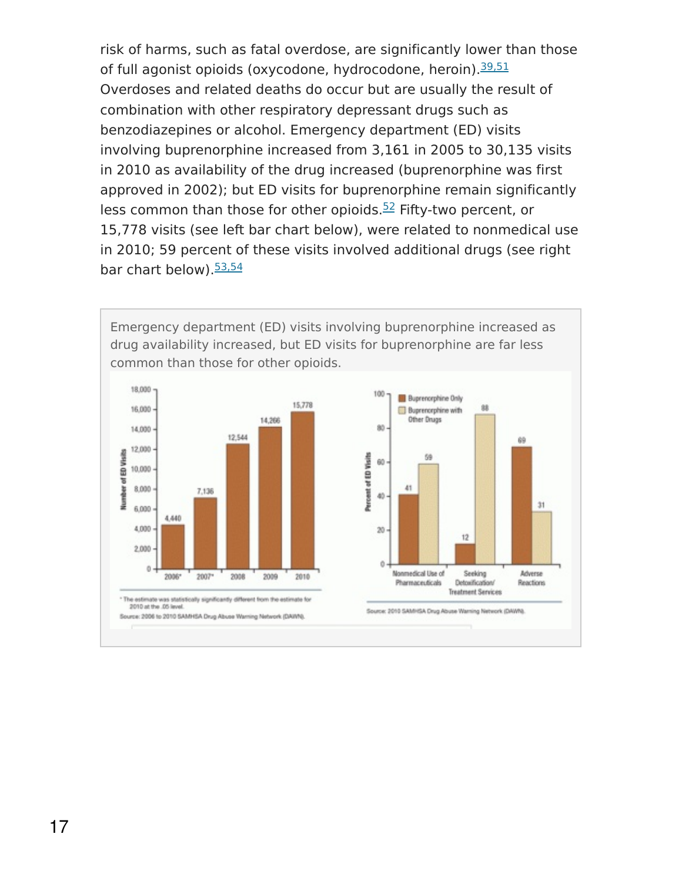risk of harms, such as fatal overdose, are significantly lower than those of full agonist opioids (oxycodone, hydrocodone, heroin). [39,51](https://www.drugabuse.gov/publications/research-reports/medications-to-treat-opioid-addiction/references) Overdoses and related deaths do occur but are usually the result of combination with other respiratory depressant drugs such as benzodiazepines or alcohol. Emergency department (ED) visits involving buprenorphine increased from 3,161 in 2005 to 30,135 visits in 2010 as availability of the drug increased (buprenorphine was first approved in 2002); but ED visits for buprenorphine remain significantly less common than those for other opioids. $52$  Fifty-two percent, or 15,778 visits (see left bar chart below), were related to nonmedical use in 2010; 59 percent of these visits involved additional drugs (see right bar chart below).<sup>[53,54](https://www.drugabuse.gov/publications/research-reports/medications-to-treat-opioid-addiction/references)</sup>

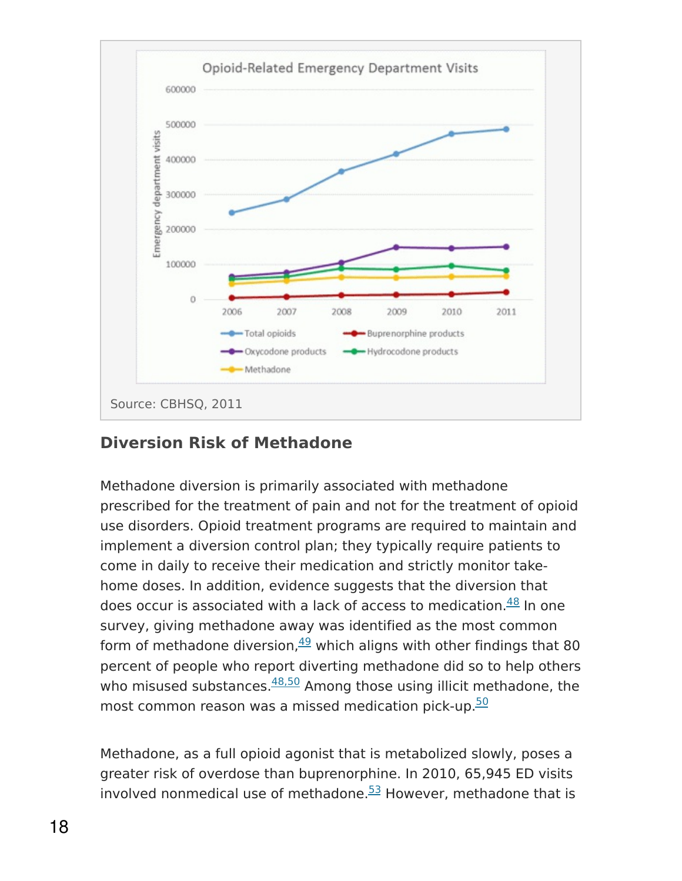

#### **Diversion Risk of Methadone**

Methadone diversion is primarily associated with methadone prescribed for the treatment of pain and not for the treatment of opioid use disorders. Opioid treatment programs are required to maintain and implement a diversion control plan; they typically require patients to come in daily to receive their medication and strictly monitor takehome doses. In addition, evidence suggests that the diversion that does occur is associated with a lack of access to medication. [48](https://www.drugabuse.gov/publications/research-reports/medications-to-treat-opioid-addiction/references) In one survey, giving methadone away was identified as the most common form of methadone diversion, $49$  which aligns with other findings that 80 percent of people who report diverting methadone did so to help others who misused substances.<sup>[48,50](https://www.drugabuse.gov/publications/research-reports/medications-to-treat-opioid-addiction/references)</sup> Among those using illicit methadone, the most common reason was a missed medication pick-up.<sup>[50](https://www.drugabuse.gov/publications/research-reports/medications-to-treat-opioid-addiction/references)</sup>

Methadone, as a full opioid agonist that is metabolized slowly, poses a greater risk of overdose than buprenorphine. In 2010, 65,945 ED visits involved nonmedical use of methadone. $53$  However, methadone that is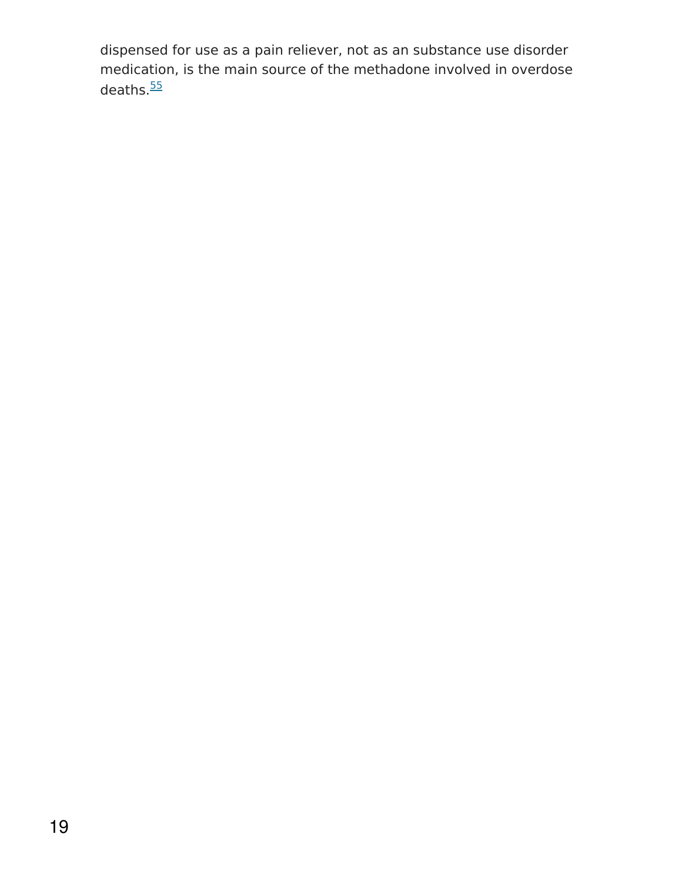dispensed for use as a pain reliever, not as an substance use disorder medication, is the main source of the methadone involved in overdose deaths.<sup>[55](https://www.drugabuse.gov/publications/research-reports/medications-to-treat-opioid-addiction/references)</sup>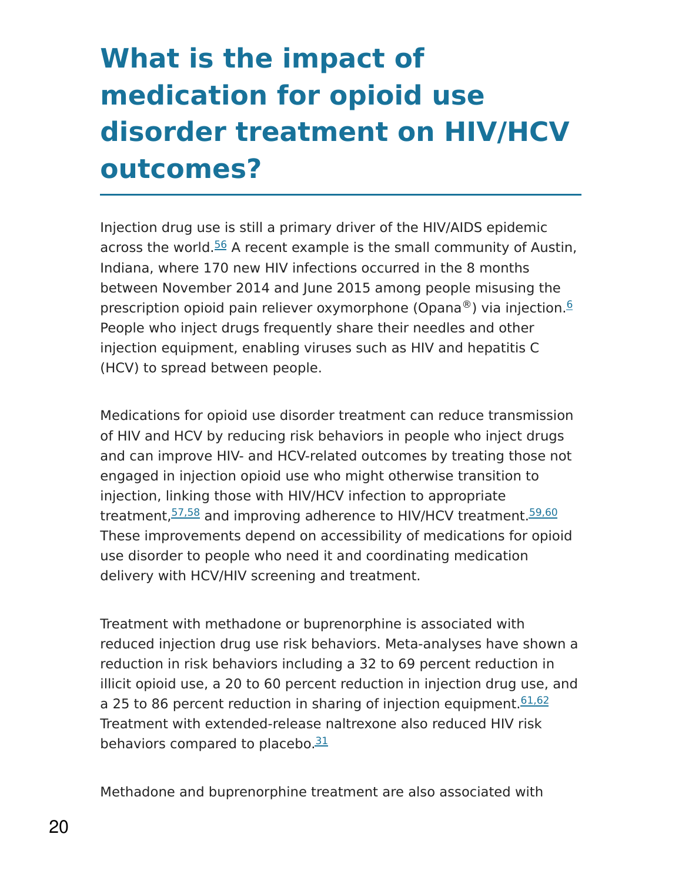# **What is the impact of medication for opioid use disorder treatment on HIV/HCV outcomes?**

Injection drug use is still a primary driver of the HIV/AIDS epidemic across the world.<sup>[56](https://www.drugabuse.gov/publications/research-reports/medications-to-treat-opioid-addiction/references)</sup> A recent example is the small community of Austin, Indiana, where 170 new HIV infections occurred in the 8 months between November 2014 and June 2015 among people misusing the prescription opioid pain reliever oxymorphone (Opana®) via injection.<sup>[6](https://www.drugabuse.gov/publications/research-reports/medications-to-treat-opioid-addiction/references)</sup> People who inject drugs frequently share their needles and other injection equipment, enabling viruses such as HIV and hepatitis C (HCV) to spread between people.

Medications for opioid use disorder treatment can reduce transmission of HIV and HCV by reducing risk behaviors in people who inject drugs and can improve HIV- and HCV-related outcomes by treating those not engaged in injection opioid use who might otherwise transition to injection, linking those with HIV/HCV infection to appropriate treatment, [57,58](https://www.drugabuse.gov/publications/research-reports/medications-to-treat-opioid-addiction/references) and improving adherence to HIV/HCV treatment. [59,60](https://www.drugabuse.gov/publications/research-reports/medications-to-treat-opioid-addiction/references) These improvements depend on accessibility of medications for opioid use disorder to people who need it and coordinating medication delivery with HCV/HIV screening and treatment.

Treatment with methadone or buprenorphine is associated with reduced injection drug use risk behaviors. Meta-analyses have shown a reduction in risk behaviors including a 32 to 69 percent reduction in illicit opioid use, a 20 to 60 percent reduction in injection drug use, and a 25 to 86 percent reduction in sharing of injection equipment. [61,62](https://www.drugabuse.gov/publications/research-reports/medications-to-treat-opioid-addiction/references) Treatment with extended-release naltrexone also reduced HIV risk behaviors compared to placebo.<sup>[31](https://www.drugabuse.gov/publications/research-reports/medications-to-treat-opioid-addiction/references)</sup>

Methadone and buprenorphine treatment are also associated with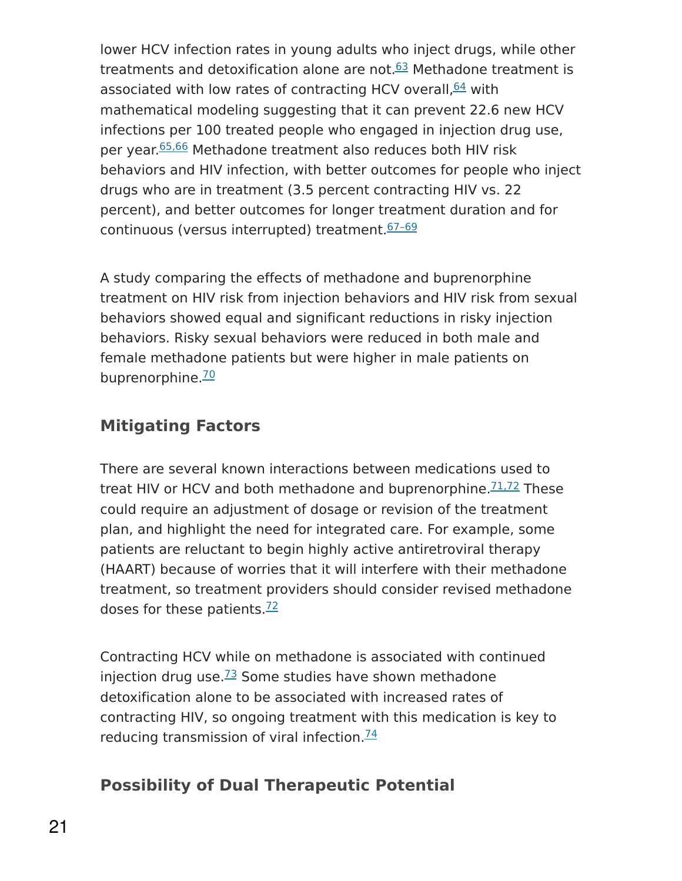lower HCV infection rates in young adults who inject drugs, while other treatments and detoxification alone are not.<sup>[63](https://www.drugabuse.gov/publications/research-reports/medications-to-treat-opioid-addiction/references)</sup> Methadone treatment is associated with low rates of contracting HCV overall, [64](https://www.drugabuse.gov/publications/research-reports/medications-to-treat-opioid-addiction/references) with mathematical modeling suggesting that it can prevent 22.6 new HCV infections per 100 treated people who engaged in injection drug use, per year.<sup>[65,66](https://www.drugabuse.gov/publications/research-reports/medications-to-treat-opioid-addiction/references)</sup> Methadone treatment also reduces both HIV risk behaviors and HIV infection, with better outcomes for people who inject drugs who are in treatment (3.5 percent contracting HIV vs. 22 percent), and better outcomes for longer treatment duration and for continuous (versus interrupted) treatment. 67-69

A study comparing the effects of methadone and buprenorphine treatment on HIV risk from injection behaviors and HIV risk from sexual behaviors showed equal and significant reductions in risky injection behaviors. Risky sexual behaviors were reduced in both male and female methadone patients but were higher in male patients on buprenorphine.<sup>[70](https://www.drugabuse.gov/publications/research-reports/medications-to-treat-opioid-addiction/references)</sup>

### **Mitigating Factors**

There are several known interactions between medications used to treat HIV or HCV and both methadone and buprenorphine.<sup>[71,72](https://www.drugabuse.gov/publications/research-reports/medications-to-treat-opioid-addiction/references)</sup> These could require an adjustment of dosage or revision of the treatment plan, and highlight the need for integrated care. For example, some patients are reluctant to begin highly active antiretroviral therapy (HAART) because of worries that it will interfere with their methadone treatment, so treatment providers should consider revised methadone doses for these patients.<sup>[72](https://www.drugabuse.gov/publications/research-reports/medications-to-treat-opioid-addiction/references)</sup>

Contracting HCV while on methadone is associated with continued injection drug use. $^{73}$  $^{73}$  $^{73}$  Some studies have shown methadone detoxification alone to be associated with increased rates of contracting HIV, so ongoing treatment with this medication is key to reducing transmission of viral infection.<sup>[74](https://www.drugabuse.gov/publications/research-reports/medications-to-treat-opioid-addiction/references)</sup>

### **Possibility of Dual Therapeutic Potential**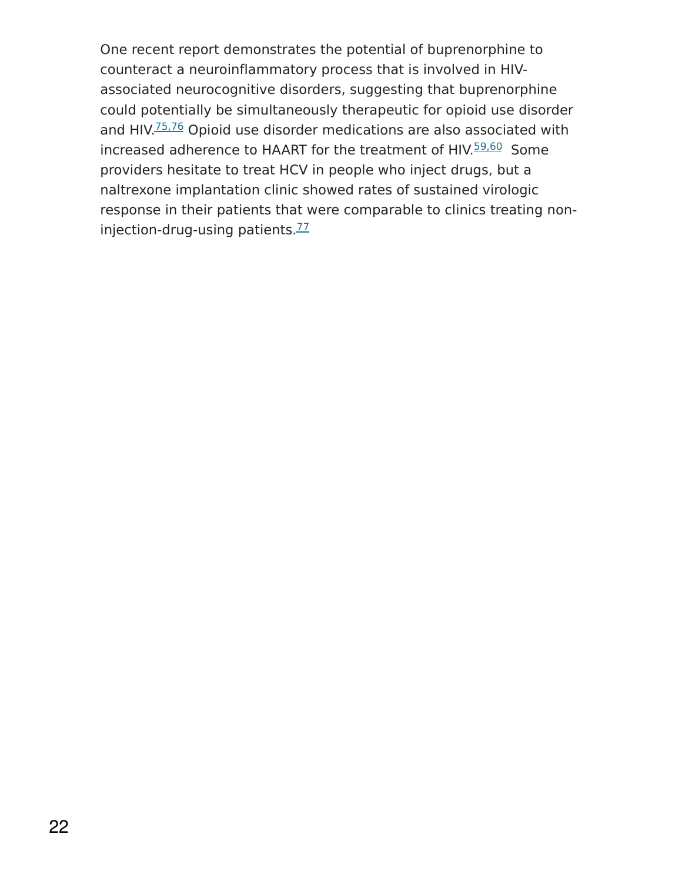One recent report demonstrates the potential of buprenorphine to counteract a neuroinflammatory process that is involved in HIVassociated neurocognitive disorders, suggesting that buprenorphine could potentially be simultaneously therapeutic for opioid use disorder and HIV.<sup>[75,76](https://www.drugabuse.gov/publications/research-reports/medications-to-treat-opioid-addiction/references)</sup> Opioid use disorder medications are also associated with increased adherence to HAART for the treatment of HIV.<sup>[59,60](https://www.drugabuse.gov/publications/research-reports/medications-to-treat-opioid-addiction/references)</sup> Some providers hesitate to treat HCV in people who inject drugs, but a naltrexone implantation clinic showed rates of sustained virologic response in their patients that were comparable to clinics treating non-injection-drug-using patients.<sup>[77](https://www.drugabuse.gov/publications/research-reports/medications-to-treat-opioid-addiction/references)</sup>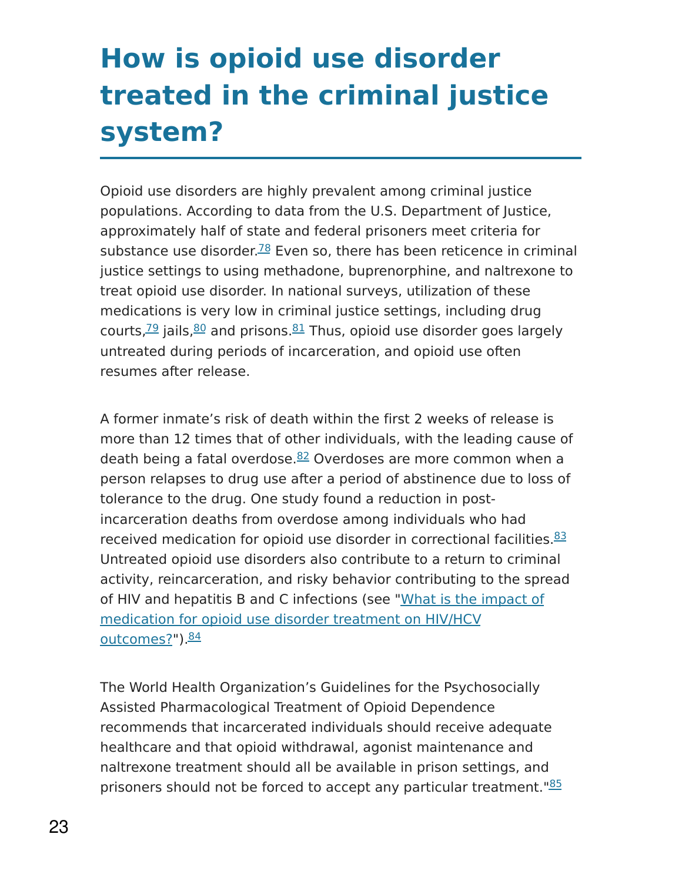# **How is opioid use disorder treated in the criminal justice system?**

Opioid use disorders are highly prevalent among criminal justice populations. According to data from the U.S. Department of Justice, approximately half of state and federal prisoners meet criteria for substance use disorder.<sup>[78](https://www.drugabuse.gov/publications/research-reports/medications-to-treat-opioid-addiction/references)</sup> Even so, there has been reticence in criminal justice settings to using methadone, buprenorphine, and naltrexone to treat opioid use disorder. In national surveys, utilization of these medications is very low in criminal justice settings, including drug courts,<sup>[79](https://www.drugabuse.gov/publications/research-reports/medications-to-treat-opioid-addiction/references)</sup> jails,<sup>[80](https://www.drugabuse.gov/publications/research-reports/medications-to-treat-opioid-addiction/references)</sup> and prisons.<sup>[81](https://www.drugabuse.gov/publications/research-reports/medications-to-treat-opioid-addiction/references)</sup> Thus, opioid use disorder goes largely untreated during periods of incarceration, and opioid use often resumes after release.

A former inmate's risk of death within the first 2 weeks of release is more than 12 times that of other individuals, with the leading cause of death being a fatal overdose. [82](https://www.drugabuse.gov/publications/research-reports/medications-to-treat-opioid-addiction/references) Overdoses are more common when a person relapses to drug use after a period of abstinence due to loss of tolerance to the drug. One study found a reduction in postincarceration deaths from overdose among individuals who had received medication for opioid use disorder in correctional facilities.<sup>[83](https://www.drugabuse.gov/publications/research-reports/medications-to-treat-opioid-addiction/references)</sup> Untreated opioid use disorders also contribute to a return to criminal activity, reincarceration, and risky behavior contributing to the spread of HIV and hepatitis B and C infections (see "What is the impact of medication for opioid use disorder treatment on HIV/HCV <u>outcomes?</u>").<sup><u>[84](https://www.drugabuse.gov/publications/research-reports/medications-to-treat-opioid-addiction/references)</u></sup>

The World Health Organization's Guidelines for the Psychosocially Assisted Pharmacological Treatment of Opioid Dependence recommends that incarcerated individuals should receive adequate healthcare and that opioid withdrawal, agonist maintenance and naltrexone treatment should all be available in prison settings, and prisoners should not be forced to accept any particular treatment."<sup>[85](https://www.drugabuse.gov/publications/research-reports/medications-to-treat-opioid-addiction/references)</sup>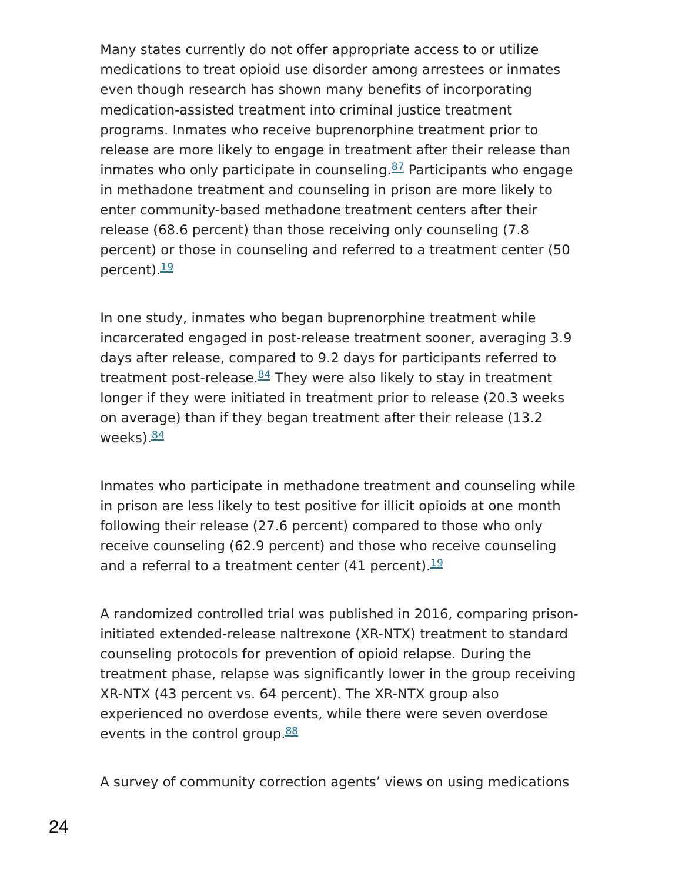Many states currently do not offer appropriate access to or utilize medications to treat opioid use disorder among arrestees or inmates even though research has shown many benefits of incorporating medication-assisted treatment into criminal justice treatment programs. Inmates who receive buprenorphine treatment prior to release are more likely to engage in treatment after their release than inmates who only participate in counseling. [87](https://www.drugabuse.gov/publications/research-reports/medications-to-treat-opioid-addiction/references) Participants who engage in methadone treatment and counseling in prison are more likely to enter community-based methadone treatment centers after their release (68.6 percent) than those receiving only counseling (7.8 percent) or those in counseling and referred to a treatment center (50 percent).<sup>[19](https://www.drugabuse.gov/publications/research-reports/medications-to-treat-opioid-addiction/references)</sup>

In one study, inmates who began buprenorphine treatment while incarcerated engaged in post-release treatment sooner, averaging 3.9 days after release, compared to 9.2 days for participants referred to treatment post-release.<sup>[84](https://www.drugabuse.gov/publications/research-reports/medications-to-treat-opioid-addiction/references)</sup> They were also likely to stay in treatment longer if they were initiated in treatment prior to release (20.3 weeks on average) than if they began treatment after their release (13.2 weeks).<mark><sup>[84](https://www.drugabuse.gov/publications/research-reports/medications-to-treat-opioid-addiction/references)</sup></mark>

Inmates who participate in methadone treatment and counseling while in prison are less likely to test positive for illicit opioids at one month following their release (27.6 percent) compared to those who only receive counseling (62.9 percent) and those who receive counseling and a referral to a treatment center (41 percent).<sup>[19](https://www.drugabuse.gov/publications/research-reports/medications-to-treat-opioid-addiction/references)</sup>

A randomized controlled trial was published in 2016, comparing prisoninitiated extended-release naltrexone (XR-NTX) treatment to standard counseling protocols for prevention of opioid relapse. During the treatment phase, relapse was significantly lower in the group receiving XR-NTX (43 percent vs. 64 percent). The XR-NTX group also experienced no overdose events, while there were seven overdose events in the control group.<sup>[88](https://www.drugabuse.gov/publications/research-reports/medications-to-treat-opioid-addiction/references)</sup>

A survey of community correction agents' views on using medications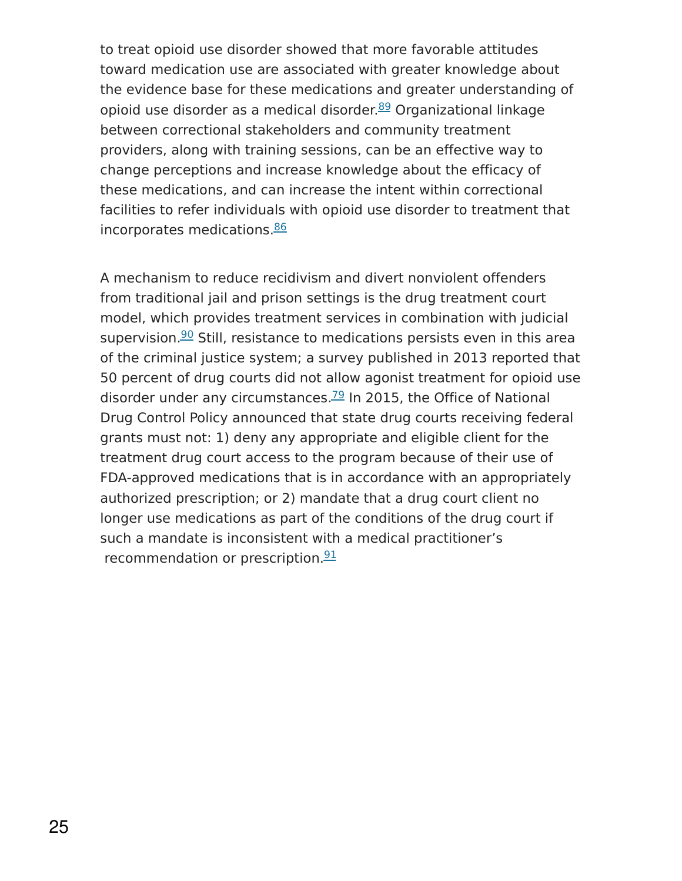to treat opioid use disorder showed that more favorable attitudes toward medication use are associated with greater knowledge about the evidence base for these medications and greater understanding of opioid use disorder as a medical disorder.<sup>[89](https://www.drugabuse.gov/publications/research-reports/medications-to-treat-opioid-addiction/references)</sup> Organizational linkage between correctional stakeholders and community treatment providers, along with training sessions, can be an effective way to change perceptions and increase knowledge about the efficacy of these medications, and can increase the intent within correctional facilities to refer individuals with opioid use disorder to treatment that incorporates medications.<sup>[86](https://www.drugabuse.gov/publications/research-reports/medications-to-treat-opioid-addiction/references)</sup>

A mechanism to reduce recidivism and divert nonviolent offenders from traditional jail and prison settings is the drug treatment court model, which provides treatment services in combination with judicial supervision.<sup>[90](https://www.drugabuse.gov/publications/research-reports/medications-to-treat-opioid-addiction/references)</sup> Still, resistance to medications persists even in this area of the criminal justice system; a survey published in 2013 reported that 50 percent of drug courts did not allow agonist treatment for opioid use disorder under any circumstances.<sup>[79](https://www.drugabuse.gov/publications/research-reports/medications-to-treat-opioid-addiction/references)</sup> In 2015, the Office of National Drug Control Policy announced that state drug courts receiving federal grants must not: 1) deny any appropriate and eligible client for the treatment drug court access to the program because of their use of FDA-approved medications that is in accordance with an appropriately authorized prescription; or 2) mandate that a drug court client no longer use medications as part of the conditions of the drug court if such a mandate is inconsistent with a medical practitioner's recommendation or prescription.<sup>[91](https://www.drugabuse.gov/publications/research-reports/medications-to-treat-opioid-addiction/references)</sup>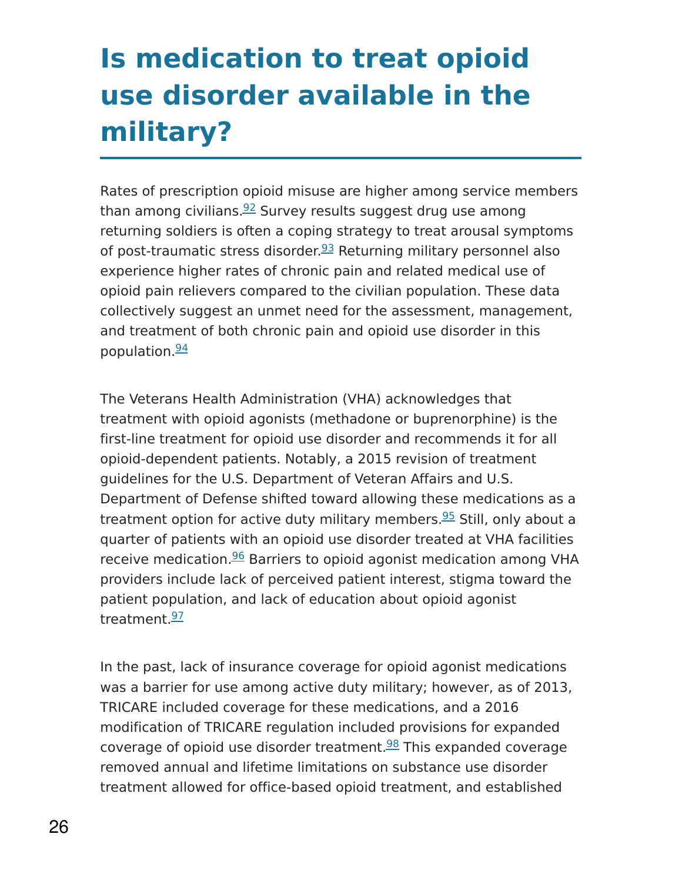# **Is medication to treat opioid use disorder available in the military?**

Rates of prescription opioid misuse are higher among service members than among civilians.<sup>[92](https://www.drugabuse.gov/publications/research-reports/medications-to-treat-opioid-addiction/references)</sup> Survey results suggest drug use among returning soldiers is often a coping strategy to treat arousal symptoms of post-traumatic stress disorder.<sup>[93](https://www.drugabuse.gov/publications/research-reports/medications-to-treat-opioid-addiction/references)</sup> Returning military personnel also experience higher rates of chronic pain and related medical use of opioid pain relievers compared to the civilian population. These data collectively suggest an unmet need for the assessment, management, and treatment of both chronic pain and opioid use disorder in this population  $\frac{94}{3}$  $\frac{94}{3}$  $\frac{94}{3}$ 

The Veterans Health Administration (VHA) acknowledges that treatment with opioid agonists (methadone or buprenorphine) is the first-line treatment for opioid use disorder and recommends it for all opioid-dependent patients. Notably, a 2015 revision of treatment guidelines for the U.S. Department of Veteran Affairs and U.S. Department of Defense shifted toward allowing these medications as a treatment option for active duty military members.<sup>[95](https://www.drugabuse.gov/publications/research-reports/medications-to-treat-opioid-addiction/references)</sup> Still, only about a quarter of patients with an opioid use disorder treated at VHA facilities receive medication.<sup>[96](https://www.drugabuse.gov/publications/research-reports/medications-to-treat-opioid-addiction/references)</sup> Barriers to opioid agonist medication among VHA providers include lack of perceived patient interest, stigma toward the patient population, and lack of education about opioid agonist treatment.<sup>[97](https://www.drugabuse.gov/publications/research-reports/medications-to-treat-opioid-addiction/references)</sup>

In the past, lack of insurance coverage for opioid agonist medications was a barrier for use among active duty military; however, as of 2013, TRICARE included coverage for these medications, and a 2016 modification of TRICARE regulation included provisions for expanded coverage of opioid use disorder treatment.<sup>[98](https://www.drugabuse.gov/publications/research-reports/medications-to-treat-opioid-addiction/references)</sup> This expanded coverage removed annual and lifetime limitations on substance use disorder treatment allowed for office-based opioid treatment, and established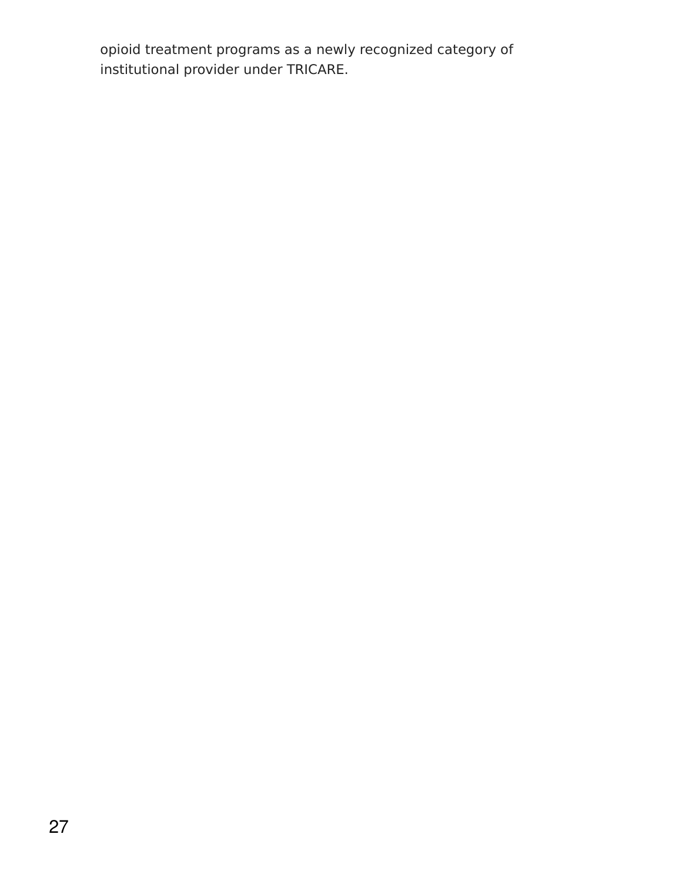opioid treatment programs as a newly recognized category of institutional provider under TRICARE.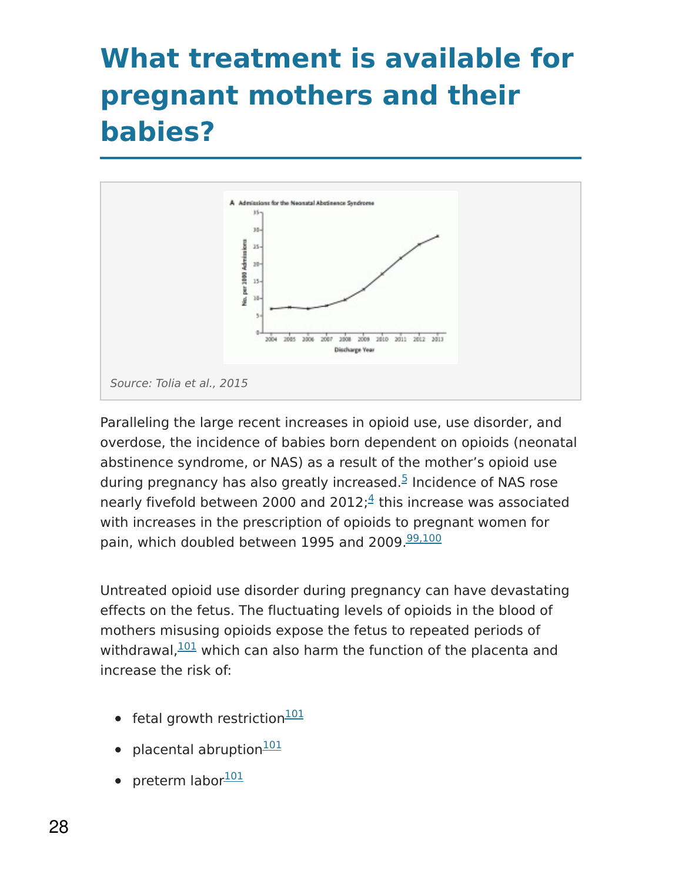### **What treatment is available for pregnant mothers and their babies?**



Paralleling the large recent increases in opioid use, use disorder, and overdose, the incidence of babies born dependent on opioids (neonatal abstinence syndrome, or NAS) as a result of the mother's opioid use during pregnancy has also greatly increased.<sup>[5](https://www.drugabuse.gov/publications/research-reports/medications-to-treat-opioid-addiction/references)</sup> Incidence of NAS rose nearly fivefold between 2000 and 2012; $\frac{4}{5}$  $\frac{4}{5}$  $\frac{4}{5}$  this increase was associated with increases in the prescription of opioids to pregnant women for pain, which doubled between 1995 and 2009.<sup>[99,100](https://www.drugabuse.gov/publications/research-reports/medications-to-treat-opioid-addiction/references)</sup>

Untreated opioid use disorder during pregnancy can have devastating effects on the fetus. The fluctuating levels of opioids in the blood of mothers misusing opioids expose the fetus to repeated periods of withdrawal, $\frac{101}{101}$  $\frac{101}{101}$  $\frac{101}{101}$  which can also harm the function of the placenta and increase the risk of:

- fetal growth restriction<sup>[101](https://www.drugabuse.gov/publications/research-reports/medications-to-treat-opioid-addiction/references)</sup>
- placental abruption<sup>[101](https://www.drugabuse.gov/publications/research-reports/medications-to-treat-opioid-addiction/references)</sup>
- preterm labor<sup>[101](https://www.drugabuse.gov/publications/research-reports/medications-to-treat-opioid-addiction/references)</sup>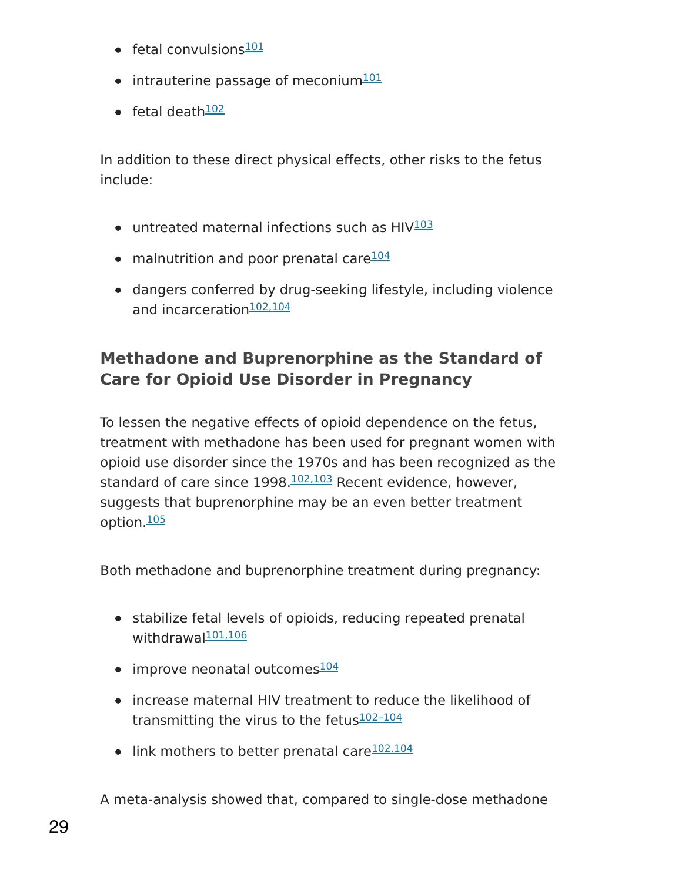- fetal convulsions<sup>[101](https://www.drugabuse.gov/publications/research-reports/medications-to-treat-opioid-addiction/references)</sup>
- intrauterine passage of meconium<sup>[101](https://www.drugabuse.gov/publications/research-reports/medications-to-treat-opioid-addiction/references)</sup>
- fetal death<sup>[102](https://www.drugabuse.gov/publications/research-reports/medications-to-treat-opioid-addiction/references)</sup>

In addition to these direct physical effects, other risks to the fetus include:

- untreated maternal infections such as HIV<sup>[103](https://www.drugabuse.gov/publications/research-reports/medications-to-treat-opioid-addiction/references)</sup>
- malnutrition and poor prenatal care<sup>[104](https://www.drugabuse.gov/publications/research-reports/medications-to-treat-opioid-addiction/references)</sup>
- dangers conferred by drug-seeking lifestyle, including violence and incarceration<sup>[102,104](https://www.drugabuse.gov/publications/research-reports/medications-to-treat-opioid-addiction/references)</sup>

### **Methadone and Buprenorphine as the Standard of Care for Opioid Use Disorder in Pregnancy**

To lessen the negative effects of opioid dependence on the fetus, treatment with methadone has been used for pregnant women with opioid use disorder since the 1970s and has been recognized as the standard of care since 1998.<sup>[102,103](https://www.drugabuse.gov/publications/research-reports/medications-to-treat-opioid-addiction/references)</sup> Recent evidence, however, suggests that buprenorphine may be an even better treatment option.<sup>[105](https://www.drugabuse.gov/publications/research-reports/medications-to-treat-opioid-addiction/references)</sup>

Both methadone and buprenorphine treatment during pregnancy:

- stabilize fetal levels of opioids, reducing repeated prenatal withdrawal<sup>[101,106](https://www.drugabuse.gov/publications/research-reports/medications-to-treat-opioid-addiction/references)</sup>
- improve neonatal outcomes<sup>[104](https://www.drugabuse.gov/publications/research-reports/medications-to-treat-opioid-addiction/references)</sup>
- increase maternal HIV treatment to reduce the likelihood of transmitting the virus to the fetus<sup>102-104</sup>
- link mothers to better prenatal care<sup>[102,104](https://www.drugabuse.gov/publications/research-reports/medications-to-treat-opioid-addiction/references)</sup>

A meta-analysis showed that, compared to single-dose methadone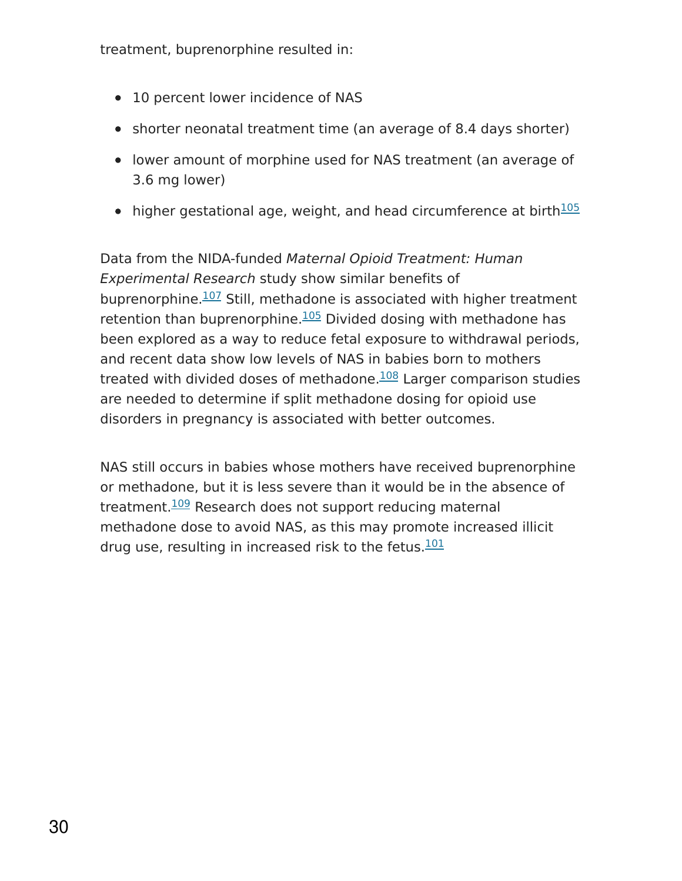treatment, buprenorphine resulted in:

- 10 percent lower incidence of NAS
- shorter neonatal treatment time (an average of 8.4 days shorter)
- lower amount of morphine used for NAS treatment (an average of 3.6 mg lower)
- higher gestational age, weight, and head circumference at birth<sup>[105](https://www.drugabuse.gov/publications/research-reports/medications-to-treat-opioid-addiction/references)</sup>

Data from the NIDA-funded Maternal Opioid Treatment: Human Experimental Research study show similar benefits of buprenorphine.<sup>[107](https://www.drugabuse.gov/publications/research-reports/medications-to-treat-opioid-addiction/references)</sup> Still, methadone is associated with higher treatment retention than buprenorphine.<sup>[105](https://www.drugabuse.gov/publications/research-reports/medications-to-treat-opioid-addiction/references)</sup> Divided dosing with methadone has been explored as a way to reduce fetal exposure to withdrawal periods, and recent data show low levels of NAS in babies born to mothers treated with divided doses of methadone.<sup>[108](https://www.drugabuse.gov/publications/research-reports/medications-to-treat-opioid-addiction/references)</sup> Larger comparison studies are needed to determine if split methadone dosing for opioid use disorders in pregnancy is associated with better outcomes.

NAS still occurs in babies whose mothers have received buprenorphine or methadone, but it is less severe than it would be in the absence of treatment.<sup>[109](https://www.drugabuse.gov/publications/research-reports/medications-to-treat-opioid-addiction/references)</sup> Research does not support reducing maternal methadone dose to avoid NAS, as this may promote increased illicit drug use, resulting in increased risk to the fetus. [101](https://www.drugabuse.gov/publications/research-reports/medications-to-treat-opioid-addiction/references)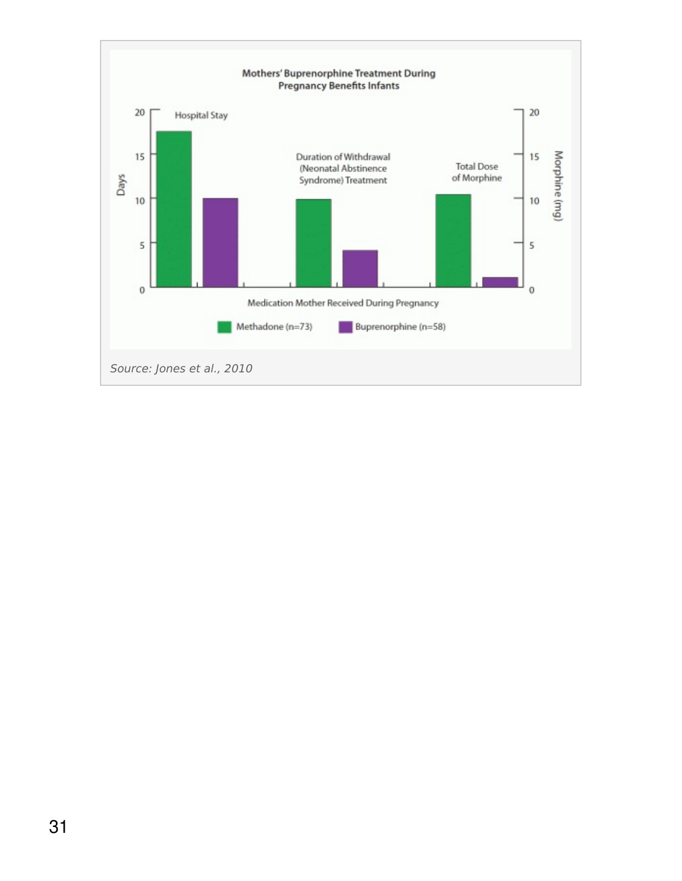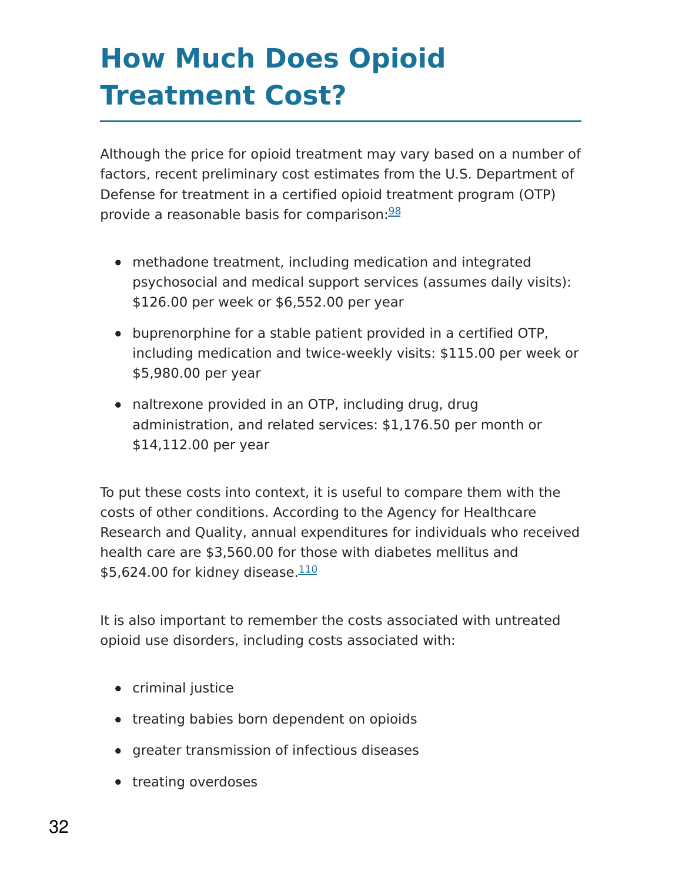# **How Much Does Opioid Treatment Cost?**

Although the price for opioid treatment may vary based on a number of factors, recent preliminary cost estimates from the U.S. Department of Defense for treatment in a certified opioid treatment program (OTP) provide a reasonable basis for comparison: [98](https://www.drugabuse.gov/publications/research-reports/medications-to-treat-opioid-addiction/references)

- methadone treatment, including medication and integrated psychosocial and medical support services (assumes daily visits): \$126.00 per week or \$6,552.00 per year
- buprenorphine for a stable patient provided in a certified OTP, including medication and twice-weekly visits: \$115.00 per week or \$5,980.00 per year
- naltrexone provided in an OTP, including drug, drug administration, and related services: \$1,176.50 per month or \$14,112.00 per year

To put these costs into context, it is useful to compare them with the costs of other conditions. According to the Agency for Healthcare Research and Quality, annual expenditures for individuals who received health care are \$3,560.00 for those with diabetes mellitus and \$5,624.00 for kidney disease.<sup>[110](https://www.drugabuse.gov/publications/research-reports/medications-to-treat-opioid-addiction/references)</sup>

It is also important to remember the costs associated with untreated opioid use disorders, including costs associated with:

- criminal justice
- treating babies born dependent on opioids
- **•** greater transmission of infectious diseases
- treating overdoses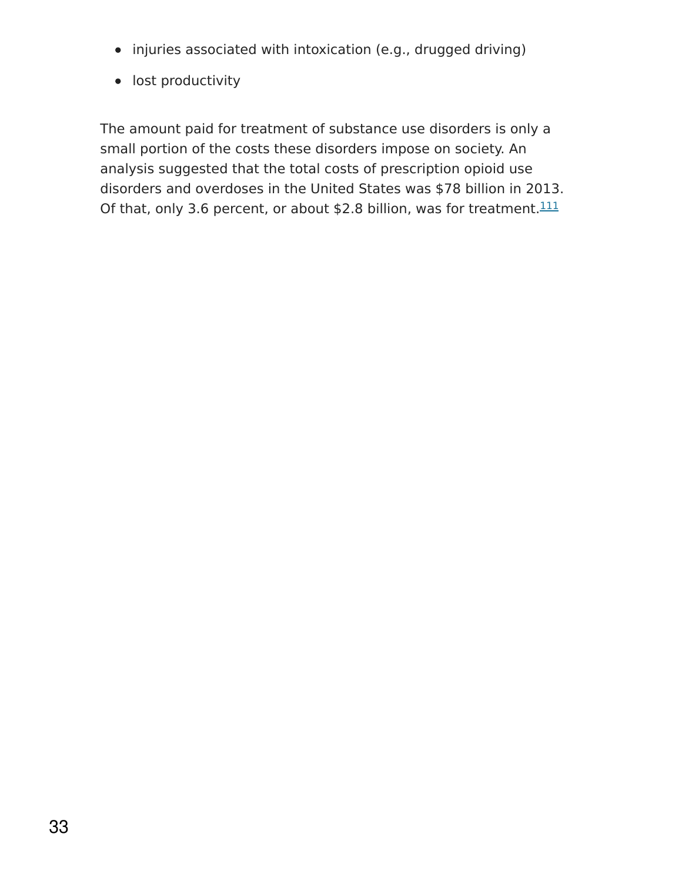- injuries associated with intoxication (e.g., drugged driving)
- lost productivity

The amount paid for treatment of substance use disorders is only a small portion of the costs these disorders impose on society. An analysis suggested that the total costs of prescription opioid use disorders and overdoses in the United States was \$78 billion in 2013. Of that, only 3.6 percent, or about \$2.8 billion, was for treatment. $111$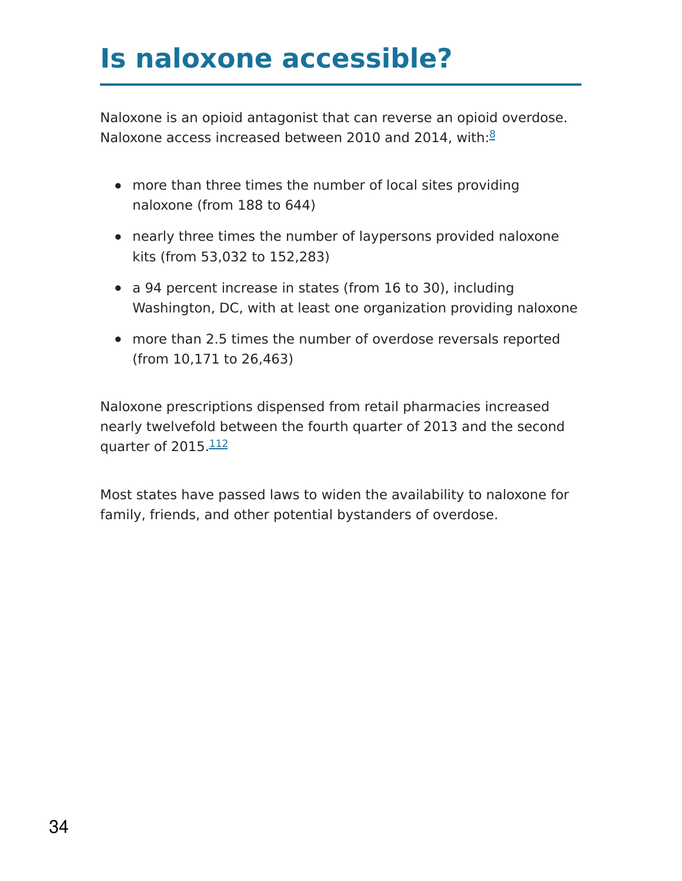### **Is naloxone accessible?**

Naloxone is an opioid antagonist that can reverse an opioid overdose. Naloxone access increased between 2010 and 2014, with:<sup>[8](https://www.drugabuse.gov/publications/research-reports/medications-to-treat-opioid-addiction/references)</sup>

- more than three times the number of local sites providing naloxone (from 188 to 644)
- nearly three times the number of laypersons provided naloxone kits (from 53,032 to 152,283)
- a 94 percent increase in states (from 16 to 30), including Washington, DC, with at least one organization providing naloxone
- more than 2.5 times the number of overdose reversals reported (from 10,171 to 26,463)

Naloxone prescriptions dispensed from retail pharmacies increased nearly twelvefold between the fourth quarter of 2013 and the second quarter of 2015. [112](https://www.drugabuse.gov/publications/research-reports/medications-to-treat-opioid-addiction/references)

Most states have passed laws to widen the availability to naloxone for family, friends, and other potential bystanders of overdose.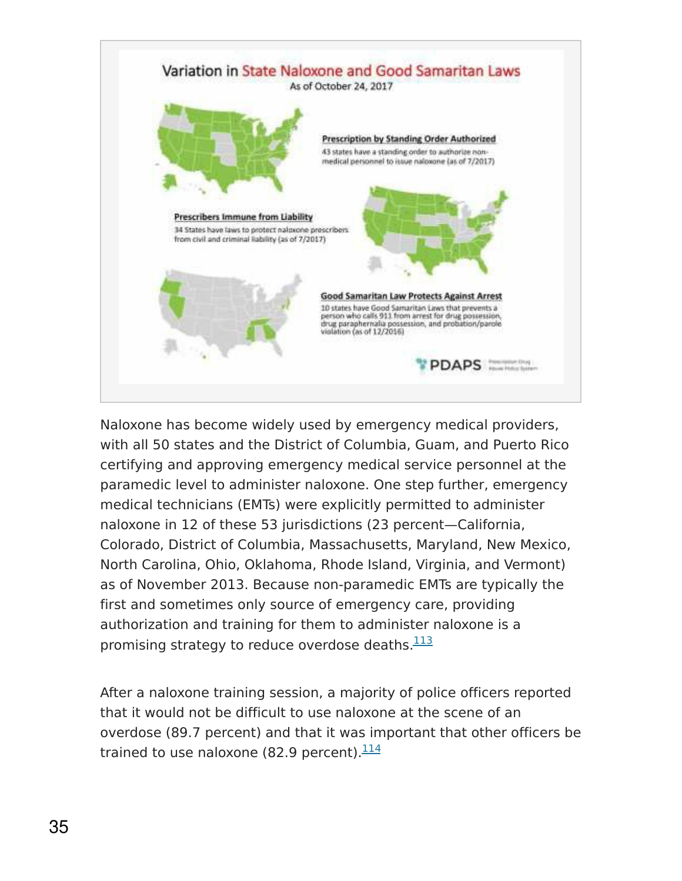

Naloxone has become widely used by emergency medical providers, with all 50 states and the District of Columbia, Guam, and Puerto Rico certifying and approving emergency medical service personnel at the paramedic level to administer naloxone. One step further, emergency medical technicians (EMTs) were explicitly permitted to administer naloxone in 12 of these 53 jurisdictions (23 percent—California, Colorado, District of Columbia, Massachusetts, Maryland, New Mexico, North Carolina, Ohio, Oklahoma, Rhode Island, Virginia, and Vermont) as of November 2013. Because non-paramedic EMTs are typically the first and sometimes only source of emergency care, providing authorization and training for them to administer naloxone is a promising strategy to reduce overdose deaths.<sup>[113](https://www.drugabuse.gov/publications/research-reports/medications-to-treat-opioid-addiction/references)</sup>

After a naloxone training session, a majority of police officers reported that it would not be difficult to use naloxone at the scene of an overdose (89.7 percent) and that it was important that other officers be trained to use naloxone (82.9 percent).<sup>[114](https://www.drugabuse.gov/publications/research-reports/medications-to-treat-opioid-addiction/references)</sup>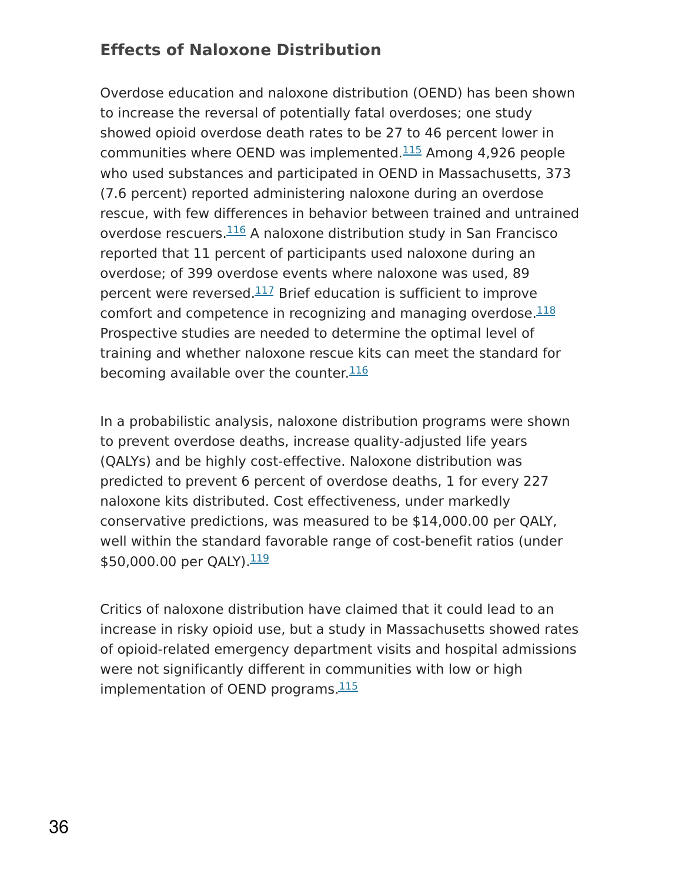#### **Effects of Naloxone Distribution**

Overdose education and naloxone distribution (OEND) has been shown to increase the reversal of potentially fatal overdoses; one study showed opioid overdose death rates to be 27 to 46 percent lower in communities where OEND was implemented. $115$  Among 4,926 people who used substances and participated in OEND in Massachusetts, 373 (7.6 percent) reported administering naloxone during an overdose rescue, with few differences in behavior between trained and untrained overdose rescuers.<sup>[116](https://www.drugabuse.gov/publications/research-reports/medications-to-treat-opioid-addiction/references)</sup> A naloxone distribution study in San Francisco reported that 11 percent of participants used naloxone during an overdose; of 399 overdose events where naloxone was used, 89 percent were reversed.<sup>[117](https://www.drugabuse.gov/publications/research-reports/medications-to-treat-opioid-addiction/references)</sup> Brief education is sufficient to improve comfort and competence in recognizing and managing overdose.<sup>[118](https://www.drugabuse.gov/publications/research-reports/medications-to-treat-opioid-addiction/references)</sup> Prospective studies are needed to determine the optimal level of training and whether naloxone rescue kits can meet the standard for becoming available over the counter.<sup>[116](https://www.drugabuse.gov/publications/research-reports/medications-to-treat-opioid-addiction/references)</sup>

In a probabilistic analysis, naloxone distribution programs were shown to prevent overdose deaths, increase quality-adjusted life years (QALYs) and be highly cost-effective. Naloxone distribution was predicted to prevent 6 percent of overdose deaths, 1 for every 227 naloxone kits distributed. Cost effectiveness, under markedly conservative predictions, was measured to be \$14,000.00 per QALY, well within the standard favorable range of cost-benefit ratios (under \$50,000.00 per QALY). $\frac{119}{1}$  $\frac{119}{1}$  $\frac{119}{1}$ 

Critics of naloxone distribution have claimed that it could lead to an increase in risky opioid use, but a study in Massachusetts showed rates of opioid-related emergency department visits and hospital admissions were not significantly different in communities with low or high implementation of OEND programs.<sup>[115](https://www.drugabuse.gov/publications/research-reports/medications-to-treat-opioid-addiction/references)</sup>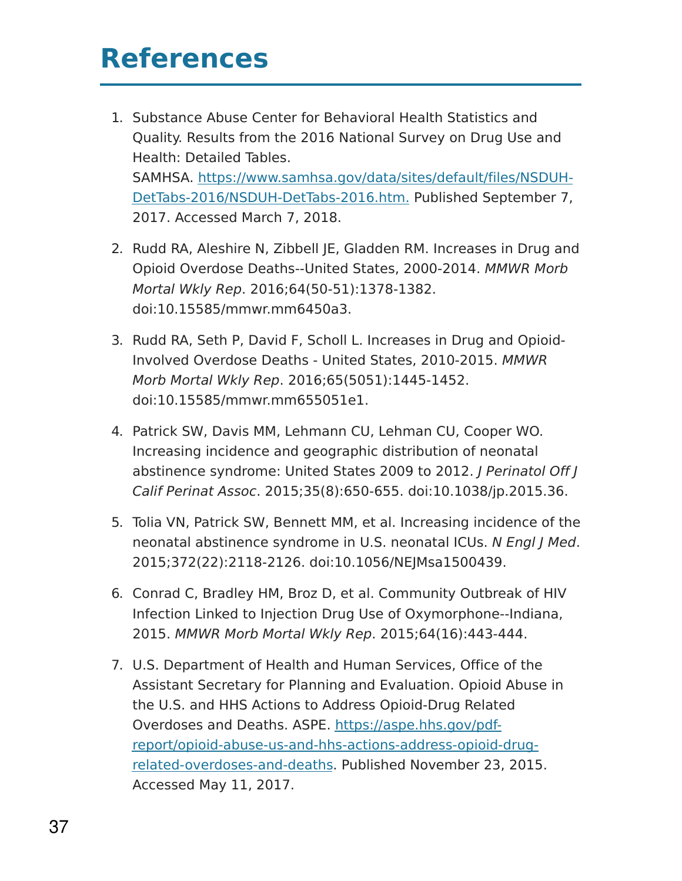### **References**

- 1. Substance Abuse Center for Behavioral Health Statistics and Quality. Results from the 2016 National Survey on Drug Use and Health: Detailed Tables. SAMHSA. [https://www.samhsa.gov/data/sites/default/files/NSDUH-](https://www.samhsa.gov/data/sites/default/files/NSDUH-DetTabs-2015/NSDUH-DetTabs-2015/NSDUH-DetTabs-2015.pdf)DetTabs-2016/NSDUH-DetTabs-2016.htm. Published September 7, 2017. Accessed March 7, 2018.
- 2. Rudd RA, Aleshire N, Zibbell JE, Gladden RM. Increases in Drug and Opioid Overdose Deaths--United States, 2000-2014. MMWR Morb Mortal Wkly Rep. 2016;64(50-51):1378-1382. doi:10.15585/mmwr.mm6450a3.
- 3. Rudd RA, Seth P, David F, Scholl L. Increases in Drug and Opioid-Involved Overdose Deaths - United States, 2010-2015. MMWR Morb Mortal Wkly Rep. 2016;65(5051):1445-1452. doi:10.15585/mmwr.mm655051e1.
- 4. Patrick SW, Davis MM, Lehmann CU, Lehman CU, Cooper WO. Increasing incidence and geographic distribution of neonatal abstinence syndrome: United States 2009 to 2012. J Perinatol Off J Calif Perinat Assoc. 2015;35(8):650-655. doi:10.1038/jp.2015.36.
- 5. Tolia VN, Patrick SW, Bennett MM, et al. Increasing incidence of the neonatal abstinence syndrome in U.S. neonatal ICUs. N Engl J Med. 2015;372(22):2118-2126. doi:10.1056/NEJMsa1500439.
- 6. Conrad C, Bradley HM, Broz D, et al. Community Outbreak of HIV Infection Linked to Injection Drug Use of Oxymorphone--Indiana, 2015. MMWR Morb Mortal Wkly Rep. 2015;64(16):443-444.
- 7. U.S. Department of Health and Human Services, Office of the Assistant Secretary for Planning and Evaluation. Opioid Abuse in the U.S. and HHS Actions to Address Opioid-Drug Related Overdoses and Deaths. ASPE. https://aspe.hhs.gov/pdf[report/opioid-abuse-us-and-hhs-actions-address-opioid-drug](https://aspe.hhs.gov/pdf-report/opioid-abuse-us-and-hhs-actions-address-opioid-drug-related-overdoses-and-deaths)related-overdoses-and-deaths. Published November 23, 2015. Accessed May 11, 2017.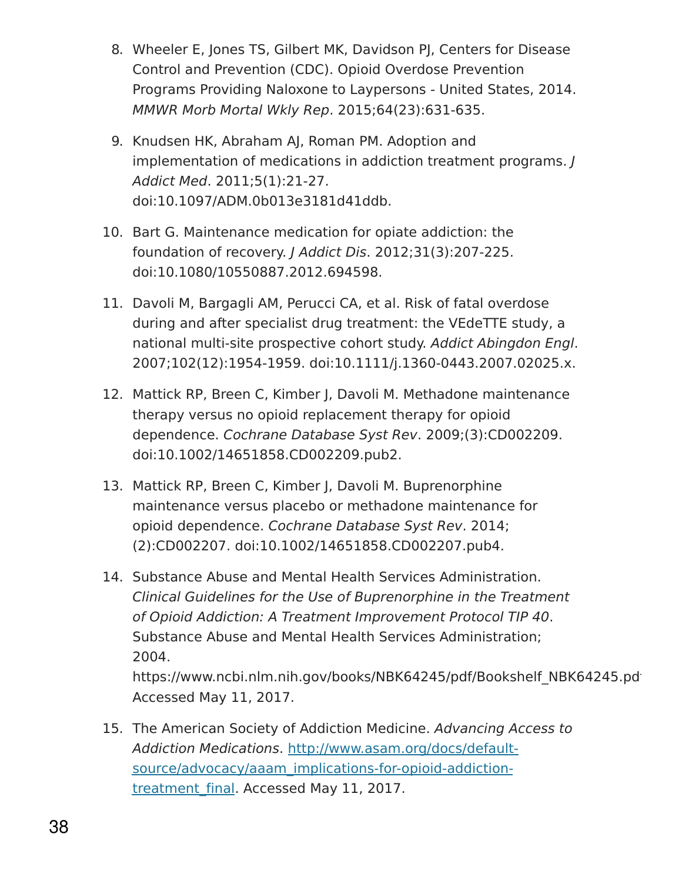- 8. Wheeler E, Jones TS, Gilbert MK, Davidson PJ, Centers for Disease Control and Prevention (CDC). Opioid Overdose Prevention Programs Providing Naloxone to Laypersons - United States, 2014. MMWR Morb Mortal Wkly Rep. 2015;64(23):631-635.
- 9. Knudsen HK, Abraham AJ, Roman PM. Adoption and implementation of medications in addiction treatment programs. J Addict Med. 2011;5(1):21-27. doi:10.1097/ADM.0b013e3181d41ddb.
- 10. Bart G. Maintenance medication for opiate addiction: the foundation of recovery. J Addict Dis. 2012;31(3):207-225. doi:10.1080/10550887.2012.694598.
- 11. Davoli M, Bargagli AM, Perucci CA, et al. Risk of fatal overdose during and after specialist drug treatment: the VEdeTTE study, a national multi-site prospective cohort study. Addict Abingdon Engl. 2007;102(12):1954-1959. doi:10.1111/j.1360-0443.2007.02025.x.
- 12. Mattick RP, Breen C, Kimber J, Davoli M. Methadone maintenance therapy versus no opioid replacement therapy for opioid dependence. Cochrane Database Syst Rev. 2009;(3):CD002209. doi:10.1002/14651858.CD002209.pub2.
- 13. Mattick RP, Breen C, Kimber J, Davoli M. Buprenorphine maintenance versus placebo or methadone maintenance for opioid dependence. Cochrane Database Syst Rev. 2014; (2):CD002207. doi:10.1002/14651858.CD002207.pub4.
- 14. Substance Abuse and Mental Health Services Administration. Clinical Guidelines for the Use of Buprenorphine in the Treatment of Opioid Addiction: A Treatment Improvement Protocol TIP 40. Substance Abuse and Mental Health Services Administration; 2004. https://www.ncbi.nlm.nih.gov/books/NBK64245/pdf/Bookshelf\_NBK64245.pd Accessed May 11, 2017.
- 15. The American Society of Addiction Medicine. Advancing Access to Addiction Medications. http://www.asam.org/docs/default[source/advocacy/aaam\\_implications-for-opioid-addiction](http://www.asam.org/docs/default-source/advocacy/aaam_implications-for-opioid-addiction-treatment_final)treatment final. Accessed May 11, 2017.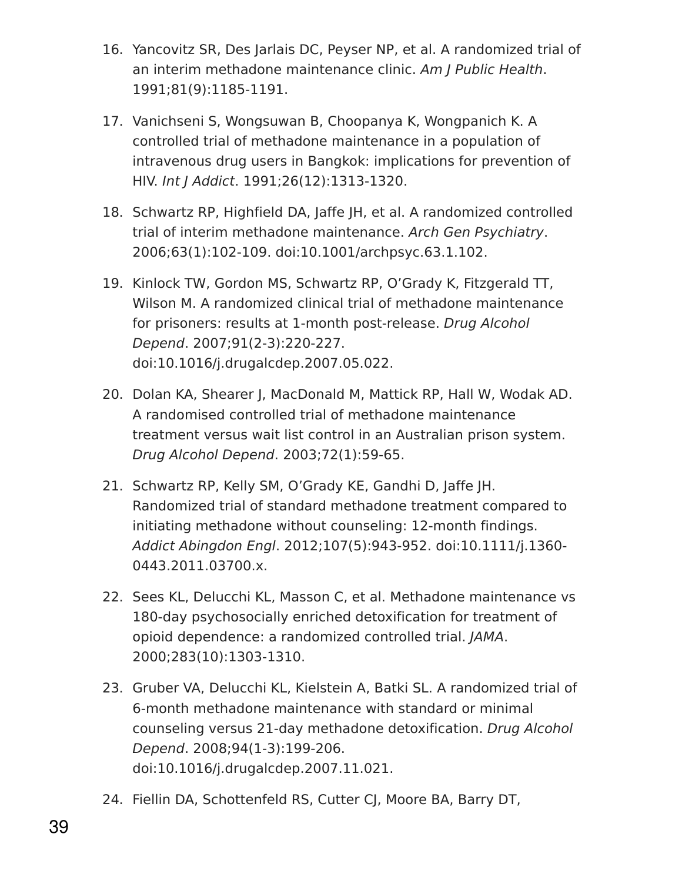- 16. Yancovitz SR, Des Jarlais DC, Peyser NP, et al. A randomized trial of an interim methadone maintenance clinic. Am J Public Health. 1991;81(9):1185-1191.
- 17. Vanichseni S, Wongsuwan B, Choopanya K, Wongpanich K. A controlled trial of methadone maintenance in a population of intravenous drug users in Bangkok: implications for prevention of HIV. Int J Addict. 1991;26(12):1313-1320.
- 18. Schwartz RP, Highfield DA, Jaffe JH, et al. A randomized controlled trial of interim methadone maintenance. Arch Gen Psychiatry. 2006;63(1):102-109. doi:10.1001/archpsyc.63.1.102.
- 19. Kinlock TW, Gordon MS, Schwartz RP, O'Grady K, Fitzgerald TT, Wilson M. A randomized clinical trial of methadone maintenance for prisoners: results at 1-month post-release. Drug Alcohol Depend. 2007;91(2-3):220-227. doi:10.1016/j.drugalcdep.2007.05.022.
- 20. Dolan KA, Shearer J, MacDonald M, Mattick RP, Hall W, Wodak AD. A randomised controlled trial of methadone maintenance treatment versus wait list control in an Australian prison system. Drug Alcohol Depend. 2003;72(1):59-65.
- 21. Schwartz RP, Kelly SM, O'Grady KE, Gandhi D, Jaffe JH. Randomized trial of standard methadone treatment compared to initiating methadone without counseling: 12-month findings. Addict Abingdon Engl. 2012;107(5):943-952. doi:10.1111/j.1360- 0443.2011.03700.x.
- 22. Sees KL, Delucchi KL, Masson C, et al. Methadone maintenance vs 180-day psychosocially enriched detoxification for treatment of opioid dependence: a randomized controlled trial. JAMA. 2000;283(10):1303-1310.
- 23. Gruber VA, Delucchi KL, Kielstein A, Batki SL. A randomized trial of 6-month methadone maintenance with standard or minimal counseling versus 21-day methadone detoxification. Drug Alcohol Depend. 2008;94(1-3):199-206. doi:10.1016/j.drugalcdep.2007.11.021.
- 24. Fiellin DA, Schottenfeld RS, Cutter CJ, Moore BA, Barry DT,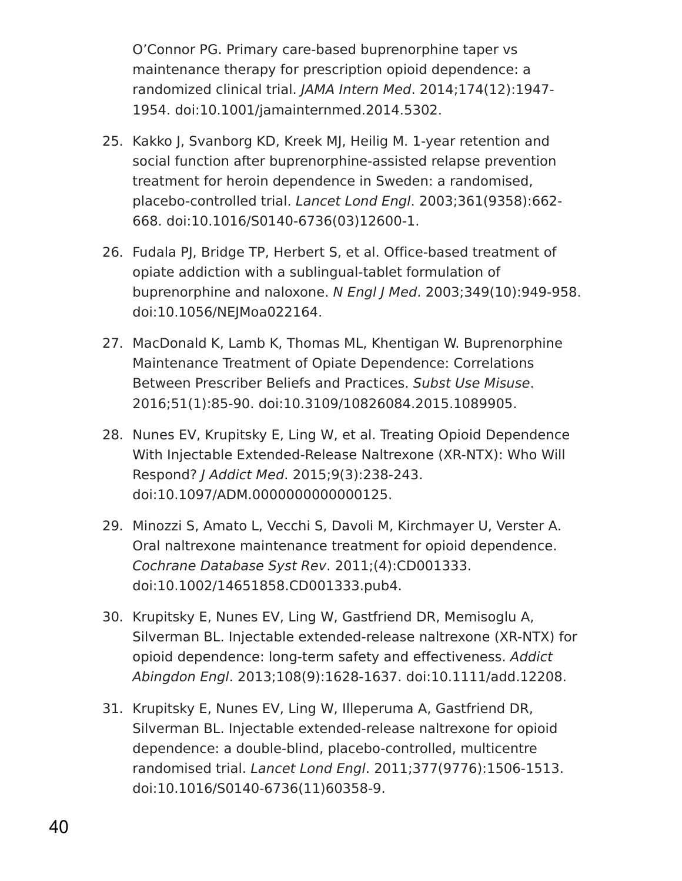O'Connor PG. Primary care-based buprenorphine taper vs maintenance therapy for prescription opioid dependence: a randomized clinical trial. JAMA Intern Med. 2014;174(12):1947- 1954. doi:10.1001/jamainternmed.2014.5302.

- 25. Kakko J, Svanborg KD, Kreek MJ, Heilig M. 1-year retention and social function after buprenorphine-assisted relapse prevention treatment for heroin dependence in Sweden: a randomised, placebo-controlled trial. Lancet Lond Engl. 2003;361(9358):662- 668. doi:10.1016/S0140-6736(03)12600-1.
- 26. Fudala PJ, Bridge TP, Herbert S, et al. Office-based treatment of opiate addiction with a sublingual-tablet formulation of buprenorphine and naloxone. N Engl J Med. 2003;349(10):949-958. doi:10.1056/NEJMoa022164.
- 27. MacDonald K, Lamb K, Thomas ML, Khentigan W. Buprenorphine Maintenance Treatment of Opiate Dependence: Correlations Between Prescriber Beliefs and Practices. Subst Use Misuse. 2016;51(1):85-90. doi:10.3109/10826084.2015.1089905.
- 28. Nunes EV, Krupitsky E, Ling W, et al. Treating Opioid Dependence With Injectable Extended-Release Naltrexone (XR-NTX): Who Will Respond? J Addict Med. 2015;9(3):238-243. doi:10.1097/ADM.0000000000000125.
- 29. Minozzi S, Amato L, Vecchi S, Davoli M, Kirchmayer U, Verster A. Oral naltrexone maintenance treatment for opioid dependence. Cochrane Database Syst Rev. 2011;(4):CD001333. doi:10.1002/14651858.CD001333.pub4.
- 30. Krupitsky E, Nunes EV, Ling W, Gastfriend DR, Memisoglu A, Silverman BL. Injectable extended-release naltrexone (XR-NTX) for opioid dependence: long-term safety and effectiveness. Addict Abingdon Engl. 2013;108(9):1628-1637. doi:10.1111/add.12208.
- 31. Krupitsky E, Nunes EV, Ling W, Illeperuma A, Gastfriend DR, Silverman BL. Injectable extended-release naltrexone for opioid dependence: a double-blind, placebo-controlled, multicentre randomised trial. Lancet Lond Engl. 2011;377(9776):1506-1513. doi:10.1016/S0140-6736(11)60358-9.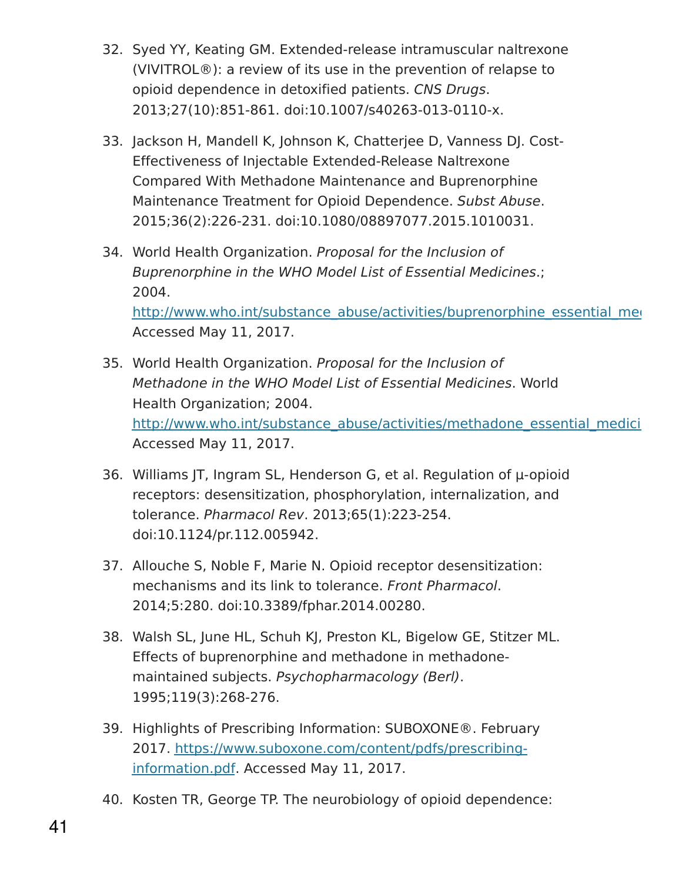- 32. Syed YY, Keating GM. Extended-release intramuscular naltrexone (VIVITROL®): a review of its use in the prevention of relapse to opioid dependence in detoxified patients. CNS Drugs. 2013;27(10):851-861. doi:10.1007/s40263-013-0110-x.
- 33. Jackson H, Mandell K, Johnson K, Chatterjee D, Vanness DJ. Cost-Effectiveness of Injectable Extended-Release Naltrexone Compared With Methadone Maintenance and Buprenorphine Maintenance Treatment for Opioid Dependence. Subst Abuse. 2015;36(2):226-231. doi:10.1080/08897077.2015.1010031.
- 34. World Health Organization. Proposal for the Inclusion of Buprenorphine in the WHO Model List of Essential Medicines.; 2004. http://www.who.int/substance\_abuse/activities/buprenorphine\_essential\_medi Accessed May 11, 2017.
- 35. World Health Organization. Proposal for the Inclusion of Methadone in the WHO Model List of Essential Medicines. World Health Organization; 2004. http://www.who.int/substance\_abuse/activities/methadone\_essential\_medici Accessed May 11, 2017.
- 36. Williams JT, Ingram SL, Henderson G, et al. Regulation of μ-opioid receptors: desensitization, phosphorylation, internalization, and tolerance. Pharmacol Rev. 2013;65(1):223-254. doi:10.1124/pr.112.005942.
- 37. Allouche S, Noble F, Marie N. Opioid receptor desensitization: mechanisms and its link to tolerance. Front Pharmacol. 2014;5:280. doi:10.3389/fphar.2014.00280.
- 38. Walsh SL, June HL, Schuh KJ, Preston KL, Bigelow GE, Stitzer ML. Effects of buprenorphine and methadone in methadonemaintained subjects. Psychopharmacology (Berl). 1995;119(3):268-276.
- 39. Highlights of Prescribing Information: SUBOXONE®. February 2017. [https://www.suboxone.com/content/pdfs/prescribing](https://www.suboxone.com/content/pdfs/prescribing-information.pdf)information.pdf. Accessed May 11, 2017.
- 40. Kosten TR, George TP. The neurobiology of opioid dependence: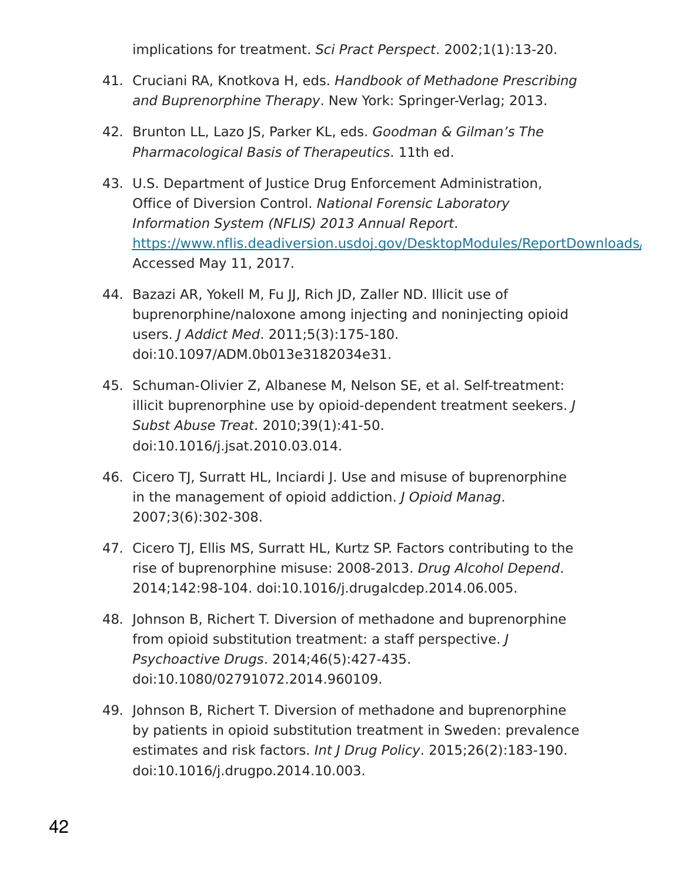implications for treatment. Sci Pract Perspect. 2002;1(1):13-20.

- 41. Cruciani RA, Knotkova H, eds. Handbook of Methadone Prescribing and Buprenorphine Therapy. New York: Springer-Verlag; 2013.
- 42. Brunton LL, Lazo JS, Parker KL, eds. Goodman & Gilman's The Pharmacological Basis of Therapeutics. 11th ed.
- 43. U.S. Department of Justice Drug Enforcement Administration, Office of Diversion Control. National Forensic Laboratory Information System (NFLIS) 2013 Annual Report. https://www.nflis.deadiversion.usdoj.gov/DesktopModules/ReportDownloads/ Accessed May 11, 2017.
- 44. Bazazi AR, Yokell M, Fu JJ, Rich JD, Zaller ND. Illicit use of buprenorphine/naloxone among injecting and noninjecting opioid users. J Addict Med. 2011;5(3):175-180. doi:10.1097/ADM.0b013e3182034e31.
- 45. Schuman-Olivier Z, Albanese M, Nelson SE, et al. Self-treatment: illicit buprenorphine use by opioid-dependent treatment seekers. J Subst Abuse Treat. 2010;39(1):41-50. doi:10.1016/j.jsat.2010.03.014.
- 46. Cicero TJ, Surratt HL, Inciardi J. Use and misuse of buprenorphine in the management of opioid addiction. *J Opioid Manag.* 2007;3(6):302-308.
- 47. Cicero TJ, Ellis MS, Surratt HL, Kurtz SP. Factors contributing to the rise of buprenorphine misuse: 2008-2013. Drug Alcohol Depend. 2014;142:98-104. doi:10.1016/j.drugalcdep.2014.06.005.
- 48. Johnson B, Richert T. Diversion of methadone and buprenorphine from opioid substitution treatment: a staff perspective. J Psychoactive Drugs. 2014;46(5):427-435. doi:10.1080/02791072.2014.960109.
- 49. Johnson B, Richert T. Diversion of methadone and buprenorphine by patients in opioid substitution treatment in Sweden: prevalence estimates and risk factors. Int J Drug Policy. 2015;26(2):183-190. doi:10.1016/j.drugpo.2014.10.003.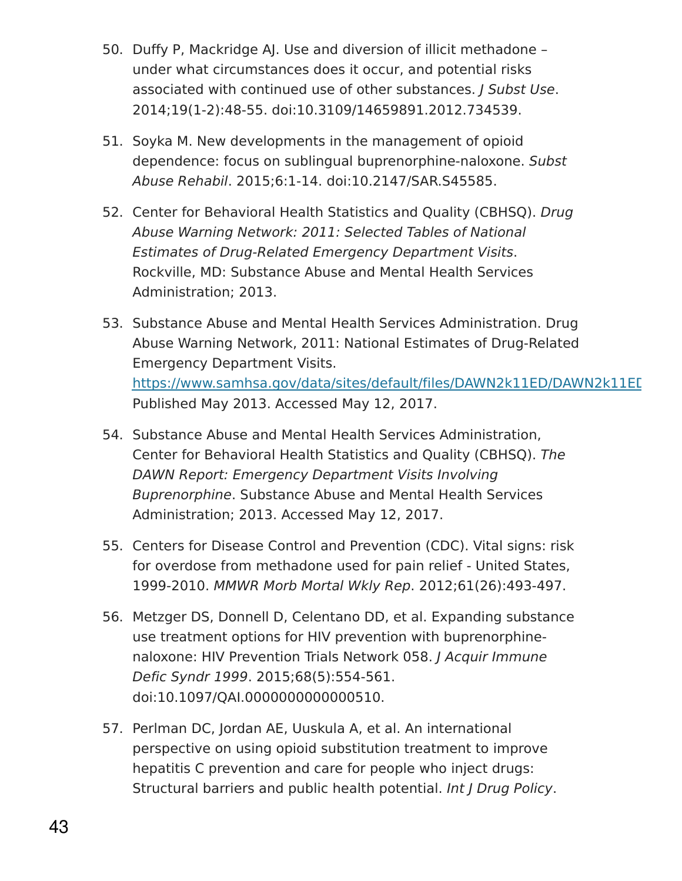- 50. Duffy P, Mackridge AJ. Use and diversion of illicit methadone under what circumstances does it occur, and potential risks associated with continued use of other substances. *J Subst Use*. 2014;19(1-2):48-55. doi:10.3109/14659891.2012.734539.
- 51. Soyka M. New developments in the management of opioid dependence: focus on sublingual buprenorphine-naloxone. Subst Abuse Rehabil. 2015;6:1-14. doi:10.2147/SAR.S45585.
- 52. Center for Behavioral Health Statistics and Quality (CBHSQ). Drug Abuse Warning Network: 2011: Selected Tables of National Estimates of Drug-Related Emergency Department Visits. Rockville, MD: Substance Abuse and Mental Health Services Administration; 2013.
- 53. Substance Abuse and Mental Health Services Administration. Drug Abuse Warning Network, 2011: National Estimates of Drug-Related Emergency Department Visits. https://www.samhsa.gov/data/sites/default/files/DAWN2k11ED/DAWN2k11ED Published May 2013. Accessed May 12, 2017.
- 54. Substance Abuse and Mental Health Services Administration, Center for Behavioral Health Statistics and Quality (CBHSQ). The DAWN Report: Emergency Department Visits Involving Buprenorphine. Substance Abuse and Mental Health Services Administration; 2013. Accessed May 12, 2017.
- 55. Centers for Disease Control and Prevention (CDC). Vital signs: risk for overdose from methadone used for pain relief - United States, 1999-2010. MMWR Morb Mortal Wkly Rep. 2012;61(26):493-497.
- 56. Metzger DS, Donnell D, Celentano DD, et al. Expanding substance use treatment options for HIV prevention with buprenorphinenaloxone: HIV Prevention Trials Network 058. J Acquir Immune Defic Syndr 1999. 2015;68(5):554-561. doi:10.1097/QAI.0000000000000510.
- 57. Perlman DC, Jordan AE, Uuskula A, et al. An international perspective on using opioid substitution treatment to improve hepatitis C prevention and care for people who inject drugs: Structural barriers and public health potential. Int J Drug Policy.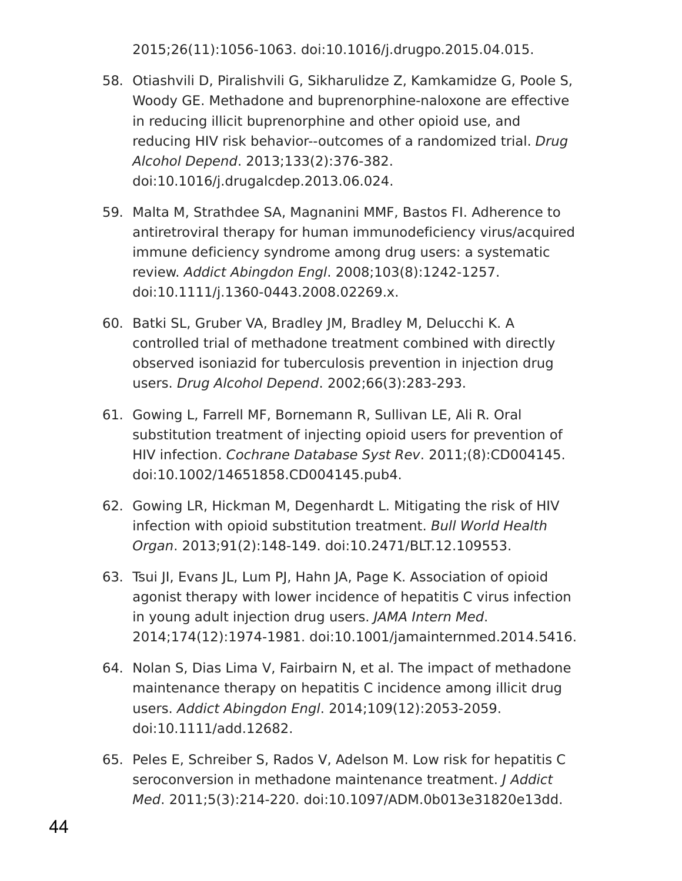2015;26(11):1056-1063. doi:10.1016/j.drugpo.2015.04.015.

- 58. Otiashvili D, Piralishvili G, Sikharulidze Z, Kamkamidze G, Poole S, Woody GE. Methadone and buprenorphine-naloxone are effective in reducing illicit buprenorphine and other opioid use, and reducing HIV risk behavior--outcomes of a randomized trial. Drug Alcohol Depend. 2013;133(2):376-382. doi:10.1016/j.drugalcdep.2013.06.024.
- 59. Malta M, Strathdee SA, Magnanini MMF, Bastos FI. Adherence to antiretroviral therapy for human immunodeficiency virus/acquired immune deficiency syndrome among drug users: a systematic review. Addict Abingdon Engl. 2008;103(8):1242-1257. doi:10.1111/j.1360-0443.2008.02269.x.
- 60. Batki SL, Gruber VA, Bradley JM, Bradley M, Delucchi K. A controlled trial of methadone treatment combined with directly observed isoniazid for tuberculosis prevention in injection drug users. Drug Alcohol Depend. 2002;66(3):283-293.
- 61. Gowing L, Farrell MF, Bornemann R, Sullivan LE, Ali R. Oral substitution treatment of injecting opioid users for prevention of HIV infection. Cochrane Database Syst Rev. 2011;(8):CD004145. doi:10.1002/14651858.CD004145.pub4.
- 62. Gowing LR, Hickman M, Degenhardt L. Mitigating the risk of HIV infection with opioid substitution treatment. Bull World Health Organ. 2013;91(2):148-149. doi:10.2471/BLT.12.109553.
- 63. Tsui JI, Evans JL, Lum PJ, Hahn JA, Page K. Association of opioid agonist therapy with lower incidence of hepatitis C virus infection in young adult injection drug users. JAMA Intern Med. 2014;174(12):1974-1981. doi:10.1001/jamainternmed.2014.5416.
- 64. Nolan S, Dias Lima V, Fairbairn N, et al. The impact of methadone maintenance therapy on hepatitis C incidence among illicit drug users. Addict Abingdon Engl. 2014;109(12):2053-2059. doi:10.1111/add.12682.
- 65. Peles E, Schreiber S, Rados V, Adelson M. Low risk for hepatitis C seroconversion in methadone maintenance treatment. J Addict Med. 2011;5(3):214-220. doi:10.1097/ADM.0b013e31820e13dd.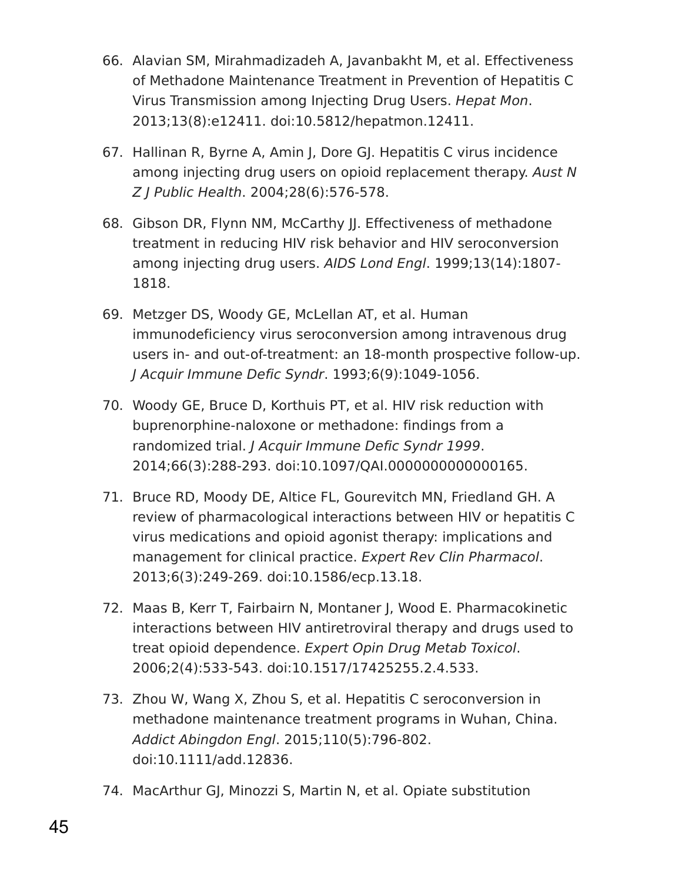- 66. Alavian SM, Mirahmadizadeh A, Javanbakht M, et al. Effectiveness of Methadone Maintenance Treatment in Prevention of Hepatitis C Virus Transmission among Injecting Drug Users. Hepat Mon. 2013;13(8):e12411. doi:10.5812/hepatmon.12411.
- 67. Hallinan R, Byrne A, Amin J, Dore GJ. Hepatitis C virus incidence among injecting drug users on opioid replacement therapy. Aust N Z J Public Health. 2004;28(6):576-578.
- 68. Gibson DR, Flynn NM, McCarthy II. Effectiveness of methadone treatment in reducing HIV risk behavior and HIV seroconversion among injecting drug users. AIDS Lond Engl. 1999;13(14):1807- 1818.
- 69. Metzger DS, Woody GE, McLellan AT, et al. Human immunodeficiency virus seroconversion among intravenous drug users in- and out-of-treatment: an 18-month prospective follow-up. J Acquir Immune Defic Syndr. 1993;6(9):1049-1056.
- 70. Woody GE, Bruce D, Korthuis PT, et al. HIV risk reduction with buprenorphine-naloxone or methadone: findings from a randomized trial. J Acquir Immune Defic Syndr 1999. 2014;66(3):288-293. doi:10.1097/QAI.0000000000000165.
- 71. Bruce RD, Moody DE, Altice FL, Gourevitch MN, Friedland GH. A review of pharmacological interactions between HIV or hepatitis C virus medications and opioid agonist therapy: implications and management for clinical practice. Expert Rev Clin Pharmacol. 2013;6(3):249-269. doi:10.1586/ecp.13.18.
- 72. Maas B, Kerr T, Fairbairn N, Montaner J, Wood E. Pharmacokinetic interactions between HIV antiretroviral therapy and drugs used to treat opioid dependence. Expert Opin Drug Metab Toxicol. 2006;2(4):533-543. doi:10.1517/17425255.2.4.533.
- 73. Zhou W, Wang X, Zhou S, et al. Hepatitis C seroconversion in methadone maintenance treatment programs in Wuhan, China. Addict Abingdon Engl. 2015;110(5):796-802. doi:10.1111/add.12836.
- 74. MacArthur GJ, Minozzi S, Martin N, et al. Opiate substitution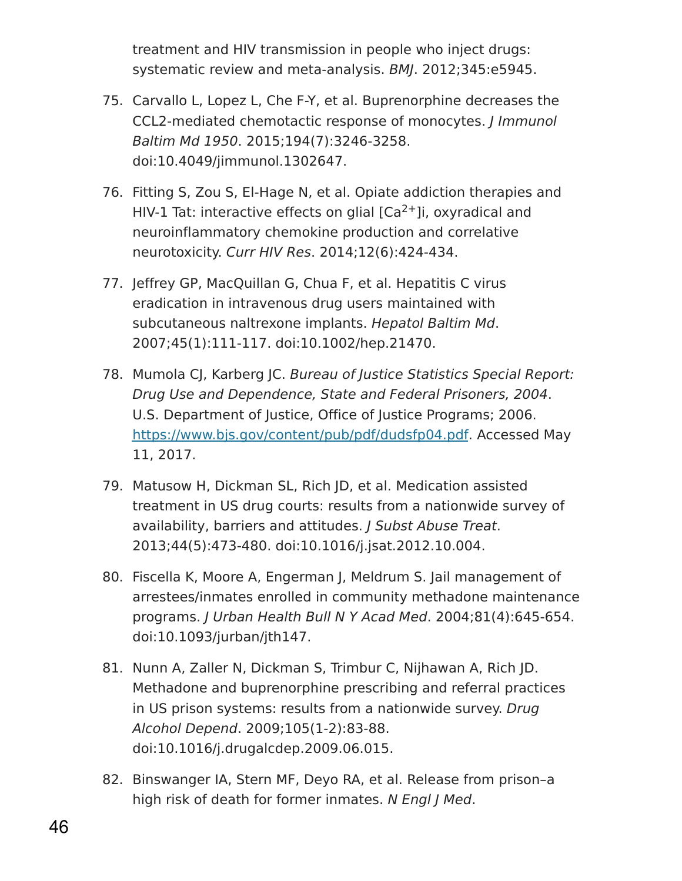treatment and HIV transmission in people who inject drugs: systematic review and meta-analysis. BMJ. 2012;345:e5945.

- 75. Carvallo L, Lopez L, Che F-Y, et al. Buprenorphine decreases the CCL2-mediated chemotactic response of monocytes. J Immunol Baltim Md 1950. 2015;194(7):3246-3258. doi:10.4049/jimmunol.1302647.
- 76. Fitting S, Zou S, El-Hage N, et al. Opiate addiction therapies and HIV-1 Tat: interactive effects on glial  $[Ca<sup>2+</sup>]$ i, oxyradical and neuroinflammatory chemokine production and correlative neurotoxicity. Curr HIV Res. 2014;12(6):424-434.
- 77. Jeffrey GP, MacQuillan G, Chua F, et al. Hepatitis C virus eradication in intravenous drug users maintained with subcutaneous naltrexone implants. Hepatol Baltim Md. 2007;45(1):111-117. doi:10.1002/hep.21470.
- 78. Mumola CJ, Karberg JC. Bureau of Justice Statistics Special Report: Drug Use and Dependence, State and Federal Prisoners, 2004. U.S. Department of Justice, Office of Justice Programs; 2006. <https://www.bjs.gov/content/pub/pdf/dudsfp04.pdf>. Accessed May 11, 2017.
- 79. Matusow H, Dickman SL, Rich JD, et al. Medication assisted treatment in US drug courts: results from a nationwide survey of availability, barriers and attitudes. J Subst Abuse Treat. 2013;44(5):473-480. doi:10.1016/j.jsat.2012.10.004.
- 80. Fiscella K, Moore A, Engerman J, Meldrum S. Jail management of arrestees/inmates enrolled in community methadone maintenance programs. J Urban Health Bull N Y Acad Med. 2004;81(4):645-654. doi:10.1093/jurban/jth147.
- 81. Nunn A, Zaller N, Dickman S, Trimbur C, Nijhawan A, Rich JD. Methadone and buprenorphine prescribing and referral practices in US prison systems: results from a nationwide survey. Drug Alcohol Depend. 2009;105(1-2):83-88. doi:10.1016/j.drugalcdep.2009.06.015.
- 82. Binswanger IA, Stern MF, Deyo RA, et al. Release from prison–a high risk of death for former inmates. N Engl J Med.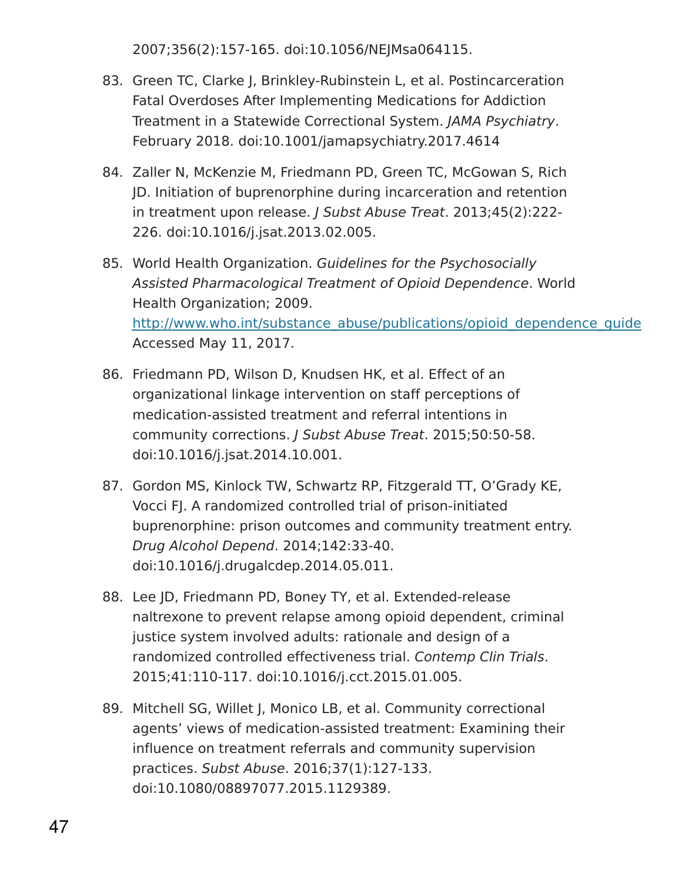2007;356(2):157-165. doi:10.1056/NEJMsa064115.

- 83. Green TC, Clarke J, Brinkley-Rubinstein L, et al. Postincarceration Fatal Overdoses After Implementing Medications for Addiction Treatment in a Statewide Correctional System. JAMA Psychiatry. February 2018. doi:10.1001/jamapsychiatry.2017.4614
- 84. Zaller N, McKenzie M, Friedmann PD, Green TC, McGowan S, Rich JD. Initiation of buprenorphine during incarceration and retention in treatment upon release. J Subst Abuse Treat. 2013;45(2):222- 226. doi:10.1016/j.jsat.2013.02.005.
- 85. World Health Organization. Guidelines for the Psychosocially Assisted Pharmacological Treatment of Opioid Dependence. World Health Organization; 2009. http://www.who.int/substance\_abuse/publications/opioid\_dependence\_guidelines. Accessed May 11, 2017.
- 86. Friedmann PD, Wilson D, Knudsen HK, et al. Effect of an organizational linkage intervention on staff perceptions of medication-assisted treatment and referral intentions in community corrections. J Subst Abuse Treat. 2015;50:50-58. doi:10.1016/j.jsat.2014.10.001.
- 87. Gordon MS, Kinlock TW, Schwartz RP, Fitzgerald TT, O'Grady KE, Vocci FJ. A randomized controlled trial of prison-initiated buprenorphine: prison outcomes and community treatment entry. Drug Alcohol Depend. 2014;142:33-40. doi:10.1016/j.drugalcdep.2014.05.011.
- 88. Lee JD, Friedmann PD, Boney TY, et al. Extended-release naltrexone to prevent relapse among opioid dependent, criminal justice system involved adults: rationale and design of a randomized controlled effectiveness trial. Contemp Clin Trials. 2015;41:110-117. doi:10.1016/j.cct.2015.01.005.
- 89. Mitchell SG, Willet J, Monico LB, et al. Community correctional agents' views of medication-assisted treatment: Examining their influence on treatment referrals and community supervision practices. Subst Abuse. 2016;37(1):127-133. doi:10.1080/08897077.2015.1129389.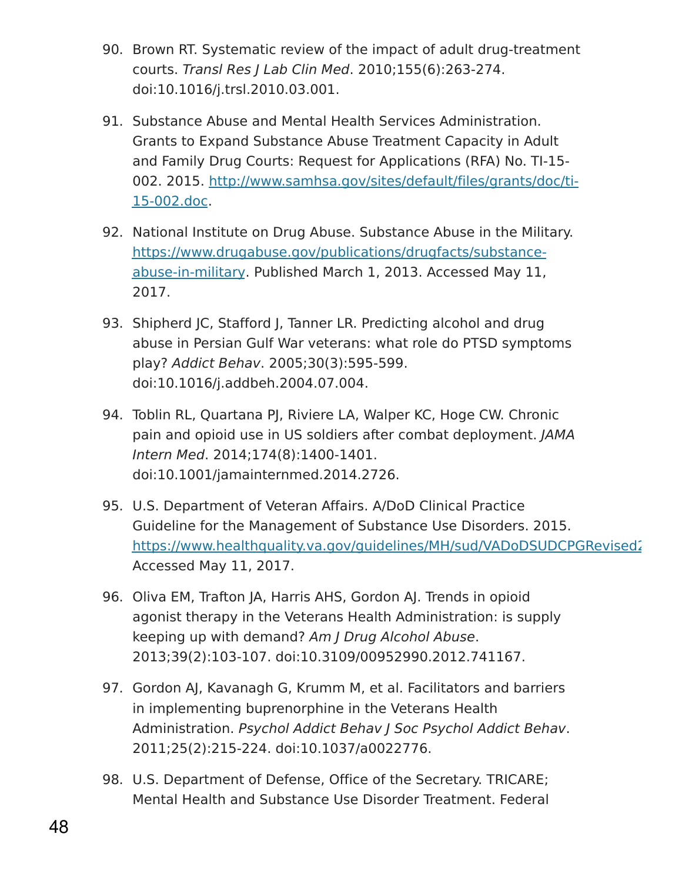- 90. Brown RT. Systematic review of the impact of adult drug-treatment courts. Transl Res J Lab Clin Med. 2010;155(6):263-274. doi:10.1016/j.trsl.2010.03.001.
- 91. Substance Abuse and Mental Health Services Administration. Grants to Expand Substance Abuse Treatment Capacity in Adult and Family Drug Courts: Request for Applications (RFA) No. TI-15- 002. 2015. [http://www.samhsa.gov/sites/default/files/grants/doc/ti-](http://www.samhsa.gov/sites/default/files/grants/doc/ti-15-002.doc)15-002.doc.
- 92. National Institute on Drug Abuse. Substance Abuse in the Military. [https://www.drugabuse.gov/publications/drugfacts/substance](https://www.drugabuse.gov/publications/drugfacts/substance-abuse-in-military)abuse-in-military. Published March 1, 2013. Accessed May 11, 2017.
- 93. Shipherd JC, Stafford J, Tanner LR. Predicting alcohol and drug abuse in Persian Gulf War veterans: what role do PTSD symptoms play? Addict Behav. 2005;30(3):595-599. doi:10.1016/j.addbeh.2004.07.004.
- 94. Toblin RL, Quartana PJ, Riviere LA, Walper KC, Hoge CW. Chronic pain and opioid use in US soldiers after combat deployment. JAMA Intern Med. 2014;174(8):1400-1401. doi:10.1001/jamainternmed.2014.2726.
- 95. U.S. Department of Veteran Affairs. A/DoD Clinical Practice Guideline for the Management of Substance Use Disorders. 2015. https://www.healthquality.va.gov/guidelines/MH/sud/VADoDSUDCPGRevised2 Accessed May 11, 2017.
- 96. Oliva EM, Trafton JA, Harris AHS, Gordon AJ. Trends in opioid agonist therapy in the Veterans Health Administration: is supply keeping up with demand? Am J Drug Alcohol Abuse. 2013;39(2):103-107. doi:10.3109/00952990.2012.741167.
- 97. Gordon AJ, Kavanagh G, Krumm M, et al. Facilitators and barriers in implementing buprenorphine in the Veterans Health Administration. Psychol Addict Behav J Soc Psychol Addict Behav. 2011;25(2):215-224. doi:10.1037/a0022776.
- 98. U.S. Department of Defense, Office of the Secretary. TRICARE; Mental Health and Substance Use Disorder Treatment. Federal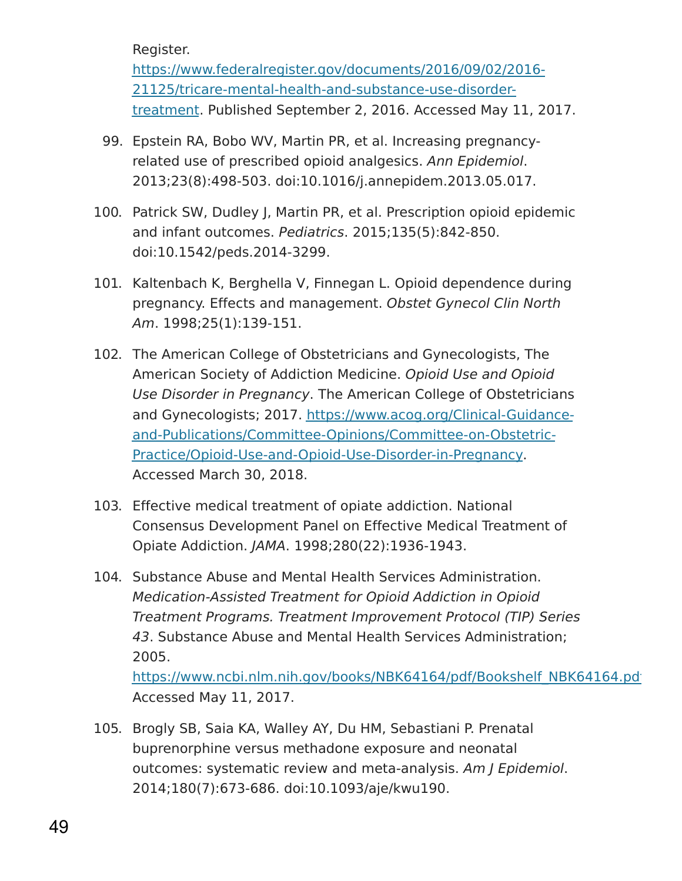Register.

[https://www.federalregister.gov/documents/2016/09/02/2016-](https://www.federalregister.gov/documents/2016/09/02/2016-21125/tricare-mental-health-and-substance-use-disorder-treatment) 21125/tricare-mental-health-and-substance-use-disordertreatment. Published September 2, 2016. Accessed May 11, 2017.

- 99. Epstein RA, Bobo WV, Martin PR, et al. Increasing pregnancyrelated use of prescribed opioid analgesics. Ann Epidemiol. 2013;23(8):498-503. doi:10.1016/j.annepidem.2013.05.017.
- 100. Patrick SW, Dudley J, Martin PR, et al. Prescription opioid epidemic and infant outcomes. Pediatrics. 2015;135(5):842-850. doi:10.1542/peds.2014-3299.
- 101. Kaltenbach K, Berghella V, Finnegan L. Opioid dependence during pregnancy. Effects and management. Obstet Gynecol Clin North Am. 1998;25(1):139-151.
- 102. The American College of Obstetricians and Gynecologists, The American Society of Addiction Medicine. Opioid Use and Opioid Use Disorder in Pregnancy. The American College of Obstetricians and Gynecologists; 2017. https://www.acog.org/Clinical-Guidance[and-Publications/Committee-Opinions/Committee-on-Obstetric-](https://www.acog.org/Clinical-Guidance-and-Publications/Committee-Opinions/Committee-on-Obstetric-Practice/Opioid-Use-and-Opioid-Use-Disorder-in-Pregnancy)Practice/Opioid-Use-and-Opioid-Use-Disorder-in-Pregnancy. Accessed March 30, 2018.
- 103. Effective medical treatment of opiate addiction. National Consensus Development Panel on Effective Medical Treatment of Opiate Addiction. JAMA. 1998;280(22):1936-1943.
- 104. Substance Abuse and Mental Health Services Administration. Medication-Assisted Treatment for Opioid Addiction in Opioid Treatment Programs. Treatment Improvement Protocol (TIP) Series 43. Substance Abuse and Mental Health Services Administration; 2005.

https://www.ncbi.nlm.nih.gov/books/NBK64164/pdf/Bookshelf\_NBK64164.pdj Accessed May 11, 2017.

105. Brogly SB, Saia KA, Walley AY, Du HM, Sebastiani P. Prenatal buprenorphine versus methadone exposure and neonatal outcomes: systematic review and meta-analysis. Am J Epidemiol. 2014;180(7):673-686. doi:10.1093/aje/kwu190.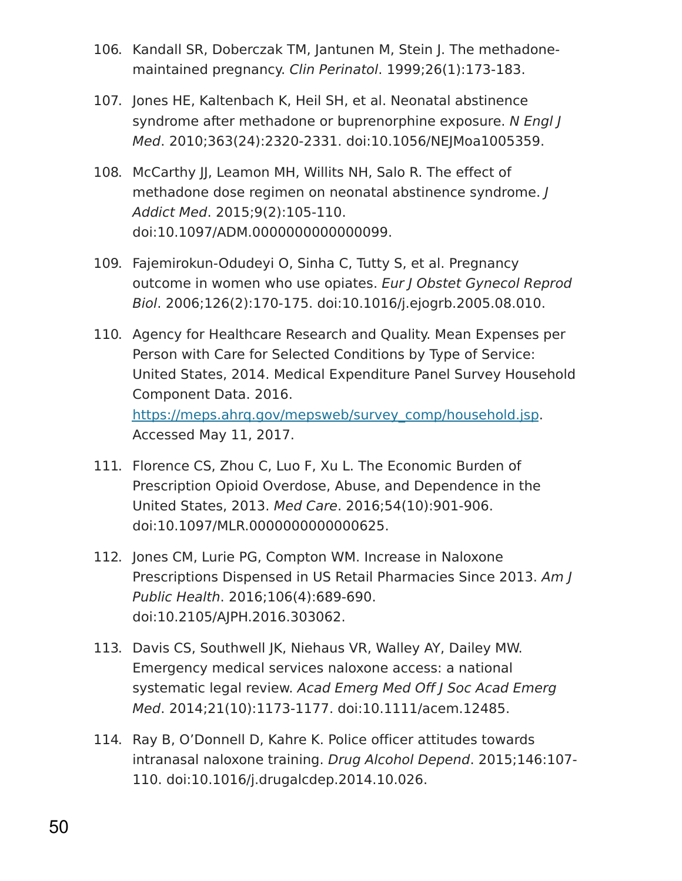- 106. Kandall SR, Doberczak TM, Jantunen M, Stein J. The methadonemaintained pregnancy. Clin Perinatol. 1999;26(1):173-183.
- 107. Jones HE, Kaltenbach K, Heil SH, et al. Neonatal abstinence syndrome after methadone or buprenorphine exposure. N Engl J Med. 2010;363(24):2320-2331. doi:10.1056/NEJMoa1005359.
- 108. McCarthy JJ, Leamon MH, Willits NH, Salo R. The effect of methadone dose regimen on neonatal abstinence syndrome. J Addict Med. 2015;9(2):105-110. doi:10.1097/ADM.0000000000000099.
- 109. Fajemirokun-Odudeyi O, Sinha C, Tutty S, et al. Pregnancy outcome in women who use opiates. Eur J Obstet Gynecol Reprod Biol. 2006;126(2):170-175. doi:10.1016/j.ejogrb.2005.08.010.
- 110. Agency for Healthcare Research and Quality. Mean Expenses per Person with Care for Selected Conditions by Type of Service: United States, 2014. Medical Expenditure Panel Survey Household Component Data. 2016. [https://meps.ahrq.gov/mepsweb/survey\\_comp/household.jsp](https://meps.ahrq.gov/mepsweb/survey_comp/household.jsp). Accessed May 11, 2017.
- 111. Florence CS, Zhou C, Luo F, Xu L. The Economic Burden of Prescription Opioid Overdose, Abuse, and Dependence in the United States, 2013. Med Care. 2016;54(10):901-906. doi:10.1097/MLR.0000000000000625.
- 112. Jones CM, Lurie PG, Compton WM. Increase in Naloxone Prescriptions Dispensed in US Retail Pharmacies Since 2013. Am J Public Health. 2016;106(4):689-690. doi:10.2105/AJPH.2016.303062.
- 113. Davis CS, Southwell JK, Niehaus VR, Walley AY, Dailey MW. Emergency medical services naloxone access: a national systematic legal review. Acad Emerg Med Off J Soc Acad Emerg Med. 2014;21(10):1173-1177. doi:10.1111/acem.12485.
- 114. Ray B, O'Donnell D, Kahre K. Police officer attitudes towards intranasal naloxone training. Drug Alcohol Depend. 2015;146:107- 110. doi:10.1016/j.drugalcdep.2014.10.026.